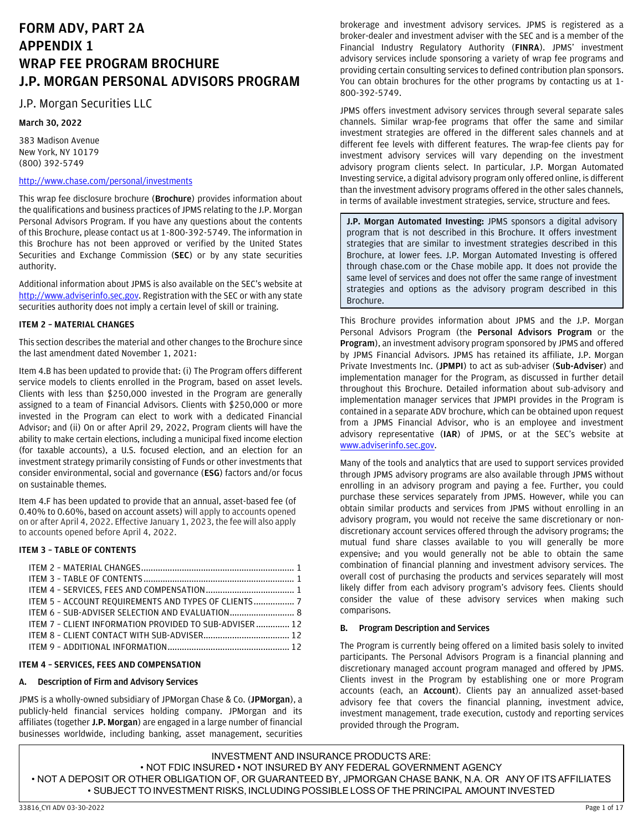# **FORM ADV, PART 2A APPENDIX 1 WRAP FEE PROGRAM BROCHURE J.P. MORGAN PERSONAL ADVISORS PROGRAM**

# J.P. Morgan Securities LLC

# **March 30, 2022**

383 Madison Avenue New York, NY 10179 (800) 392-5749

# <http://www.chase.com/personal/investments>

This wrap fee disclosure brochure (**Brochure**) provides information about the qualifications and business practices of JPMS relating to the J.P. Morgan Personal Advisors Program. If you have any questions about the contents of this Brochure, please contact us at 1-800-392-5749. The information in this Brochure has not been approved or verified by the United States Securities and Exchange Commission (**SEC**) or by any state securities authority.

Additional information about JPMS is also available on the SEC's website at [http://www.adviserinfo.sec.gov.](http://www.adviserinfo.sec.gov/) Registration with the SEC or with any state securities authority does not imply a certain level of skill or training.

# <span id="page-0-0"></span>**ITEM 2 – MATERIAL CHANGES**

This section describes the material and other changes to the Brochure since the last amendment dated November 1, 2021:

Item 4.B has been updated to provide that: (i) The Program offers different service models to clients enrolled in the Program, based on asset levels. Clients with less than \$250,000 invested in the Program are generally assigned to a team of Financial Advisors. Clients with \$250,000 or more invested in the Program can elect to work with a dedicated Financial Advisor; and (ii) On or after April 29, 2022, Program clients will have the ability to make certain elections, including a municipal fixed income election (for taxable accounts), a U.S. focused election, and an election for an investment strategy primarily consisting of Funds or other investments that consider environmental, social and governance (**ESG**) factors and/or focus on sustainable themes.

Item 4.F has been updated to provide that an annual, asset-based fee (of 0.40% to 0.60%, based on account assets) will apply to accounts opened on or after April 4, 2022. Effective January 1, 2023, the fee will also apply to accounts opened before April 4, 2022.

# <span id="page-0-1"></span>**ITEM 3 – TABLE OF CONTENTS**

| ITEM 5 - ACCOUNT REOUIREMENTS AND TYPES OF CLIENTS 7   |  |
|--------------------------------------------------------|--|
|                                                        |  |
| ITEM 7 - CLIENT INFORMATION PROVIDED TO SUB-ADVISER 12 |  |
|                                                        |  |
|                                                        |  |

# <span id="page-0-2"></span>**ITEM 4 – SERVICES, FEES AND COMPENSATION**

# **A. Description of Firm and Advisory Services**

JPMS is a wholly-owned subsidiary of JPMorgan Chase & Co. (**JPMorgan**), a publicly-held financial services holding company. JPMorgan and its affiliates (together **J.P. Morgan**) are engaged in a large number of financial businesses worldwide, including banking, asset management, securities

brokerage and investment advisory services. JPMS is registered as a broker-dealer and investment adviser with the SEC and is a member of the Financial Industry Regulatory Authority (**FINRA**). JPMS' investment advisory services include sponsoring a variety of wrap fee programs and providing certain consulting services to defined contribution plan sponsors. You can obtain brochures for the other programs by contacting us at 1- 800-392-5749.

JPMS offers investment advisory services through several separate sales channels. Similar wrap-fee programs that offer the same and similar investment strategies are offered in the different sales channels and at different fee levels with different features. The wrap-fee clients pay for investment advisory services will vary depending on the investment advisory program clients select. In particular, J.P. Morgan Automated Investing service, a digital advisory program only offered online, is different than the investment advisory programs offered in the other sales channels, in terms of available investment strategies, service, structure and fees.

**J.P. Morgan Automated Investing:** JPMS sponsors a digital advisory program that is not described in this Brochure. It offers investment strategies that are similar to investment strategies described in this Brochure, at lower fees. J.P. Morgan Automated Investing is offered through chase.com or the Chase mobile app. It does not provide the same level of services and does not offer the same range of investment strategies and options as the advisory program described in this Brochure.

This Brochure provides information about JPMS and the J.P. Morgan Personal Advisors Program (the **Personal Advisors Program** or the **Program**), an investment advisory program sponsored by JPMS and offered by JPMS Financial Advisors. JPMS has retained its affiliate, J.P. Morgan Private Investments Inc. (**JPMPI**) to act as sub-adviser (**Sub-Adviser**) and implementation manager for the Program, as discussed in further detail throughout this Brochure. Detailed information about sub-advisory and implementation manager services that JPMPI provides in the Program is contained in a separate ADV brochure, which can be obtained upon request from a JPMS Financial Advisor, who is an employee and investment advisory representative (**IAR**) of JPMS, or at the SEC's website at [www.adviserinfo.sec.gov.](http://www.adviserinfo.sec.gov/) 

Many of the tools and analytics that are used to support services provided through JPMS advisory programs are also available through JPMS without enrolling in an advisory program and paying a fee. Further, you could purchase these services separately from JPMS. However, while you can obtain similar products and services from JPMS without enrolling in an advisory program, you would not receive the same discretionary or nondiscretionary account services offered through the advisory programs; the mutual fund share classes available to you will generally be more expensive; and you would generally not be able to obtain the same combination of financial planning and investment advisory services. The overall cost of purchasing the products and services separately will most likely differ from each advisory program's advisory fees. Clients should consider the value of these advisory services when making such comparisons.

# **B. Program Description and Services**

The Program is currently being offered on a limited basis solely to invited participants. The Personal Advisors Program is a financial planning and discretionary managed account program managed and offered by JPMS. Clients invest in the Program by establishing one or more Program accounts (each, an **Account**). Clients pay an annualized asset-based advisory fee that covers the financial planning, investment advice, investment management, trade execution, custody and reporting services provided through the Program.

INVESTMENT AND INSURANCE PRODUCTS ARE: • NOT FDIC INSURED • NOT INSURED BY ANY FEDERAL GOVERNMENT AGENCY • NOT A DEPOSIT OR OTHER OBLIGATION OF, OR GUARANTEED BY, JPMORGAN CHASE BANK, N.A. OR ANY OF ITS AFFILIATES • SUBJECT TO INVESTMENT RISKS, INCLUDING POSSIBLE LOSS OF THE PRINCIPAL AMOUNT INVESTED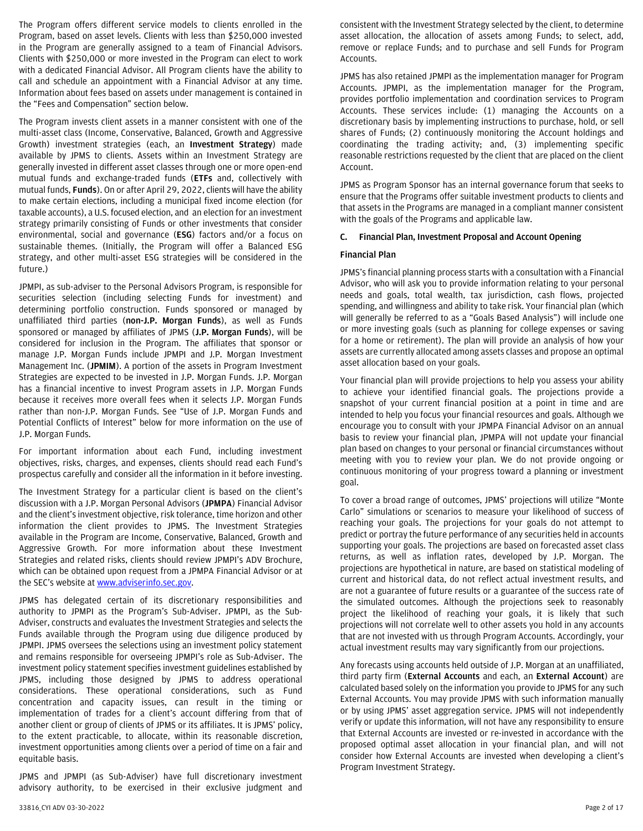The Program offers different service models to clients enrolled in the Program, based on asset levels. Clients with less than \$250,000 invested in the Program are generally assigned to a team of Financial Advisors. Clients with \$250,000 or more invested in the Program can elect to work with a dedicated Financial Advisor. All Program clients have the ability to call and schedule an appointment with a Financial Advisor at any time. Information about fees based on assets under management is contained in the "Fees and Compensation" section below.

The Program invests client assets in a manner consistent with one of the multi-asset class (Income, Conservative, Balanced, Growth and Aggressive Growth) investment strategies (each, an **Investment Strategy**) made available by JPMS to clients. Assets within an Investment Strategy are generally invested in different asset classes through one or more open-end mutual funds and exchange-traded funds (**ETFs** and, collectively with mutual funds, **Funds**). On or after April 29, 2022, clients will have the ability to make certain elections, including a municipal fixed income election (for taxable accounts), a U.S. focused election, and an election for an investment strategy primarily consisting of Funds or other investments that consider environmental, social and governance (**ESG**) factors and/or a focus on sustainable themes. (Initially, the Program will offer a Balanced ESG strategy, and other multi-asset ESG strategies will be considered in the future.)

JPMPI, as sub-adviser to the Personal Advisors Program, is responsible for securities selection (including selecting Funds for investment) and determining portfolio construction. Funds sponsored or managed by unaffiliated third parties (**non-J.P. Morgan Funds**), as well as Funds sponsored or managed by affiliates of JPMS (**J.P. Morgan Funds**), will be considered for inclusion in the Program. The affiliates that sponsor or manage J.P. Morgan Funds include JPMPI and J.P. Morgan Investment Management Inc. (**JPMIM**). A portion of the assets in Program Investment Strategies are expected to be invested in J.P. Morgan Funds. J.P. Morgan has a financial incentive to invest Program assets in J.P. Morgan Funds because it receives more overall fees when it selects J.P. Morgan Funds rather than non-J.P. Morgan Funds. See "Use of J.P. Morgan Funds and Potential Conflicts of Interest" below for more information on the use of J.P. Morgan Funds.

For important information about each Fund, including investment objectives, risks, charges, and expenses, clients should read each Fund's prospectus carefully and consider all the information in it before investing.

The Investment Strategy for a particular client is based on the client's discussion with a J.P. Morgan Personal Advisors (**JPMPA**) Financial Advisor and the client's investment objective, risk tolerance, time horizon and other information the client provides to JPMS. The Investment Strategies available in the Program are Income, Conservative, Balanced, Growth and Aggressive Growth. For more information about these Investment Strategies and related risks, clients should review JPMPI's ADV Brochure, which can be obtained upon request from a JPMPA Financial Advisor or at the SEC's website a[t www.adviserinfo.sec.gov.](http://www.adviserinfo.sec.gov/)

JPMS has delegated certain of its discretionary responsibilities and authority to JPMPI as the Program's Sub-Adviser. JPMPI, as the Sub-Adviser, constructs and evaluates the Investment Strategies and selects the Funds available through the Program using due diligence produced by JPMPI. JPMS oversees the selections using an investment policy statement and remains responsible for overseeing JPMPI's role as Sub-Adviser. The investment policy statement specifies investment guidelines established by JPMS, including those designed by JPMS to address operational considerations. These operational considerations, such as Fund concentration and capacity issues, can result in the timing or implementation of trades for a client's account differing from that of another client or group of clients of JPMS or its affiliates. It is JPMS' policy, to the extent practicable, to allocate, within its reasonable discretion, investment opportunities among clients over a period of time on a fair and equitable basis.

JPMS and JPMPI (as Sub-Adviser) have full discretionary investment advisory authority, to be exercised in their exclusive judgment and

consistent with the Investment Strategy selected by the client, to determine asset allocation, the allocation of assets among Funds; to select, add, remove or replace Funds; and to purchase and sell Funds for Program Accounts.

JPMS has also retained JPMPI as the implementation manager for Program Accounts. JPMPI, as the implementation manager for the Program, provides portfolio implementation and coordination services to Program Accounts. These services include: (1) managing the Accounts on a discretionary basis by implementing instructions to purchase, hold, or sell shares of Funds; (2) continuously monitoring the Account holdings and coordinating the trading activity; and, (3) implementing specific reasonable restrictions requested by the client that are placed on the client Account.

JPMS as Program Sponsor has an internal governance forum that seeks to ensure that the Programs offer suitable investment products to clients and that assets in the Programs are managed in a compliant manner consistent with the goals of the Programs and applicable law.

# **C. Financial Plan, Investment Proposal and Account Opening**

# **Financial Plan**

JPMS's financial planning process starts with a consultation with a Financial Advisor, who will ask you to provide information relating to your personal needs and goals, total wealth, tax jurisdiction, cash flows, projected spending, and willingness and ability to take risk. Your financial plan (which will generally be referred to as a "Goals Based Analysis") will include one or more investing goals (such as planning for college expenses or saving for a home or retirement). The plan will provide an analysis of how your assets are currently allocated among assets classes and propose an optimal asset allocation based on your goals.

Your financial plan will provide projections to help you assess your ability to achieve your identified financial goals. The projections provide a snapshot of your current financial position at a point in time and are intended to help you focus your financial resources and goals. Although we encourage you to consult with your JPMPA Financial Advisor on an annual basis to review your financial plan, JPMPA will not update your financial plan based on changes to your personal or financial circumstances without meeting with you to review your plan. We do not provide ongoing or continuous monitoring of your progress toward a planning or investment goal.

To cover a broad range of outcomes, JPMS' projections will utilize "Monte Carlo" simulations or scenarios to measure your likelihood of success of reaching your goals. The projections for your goals do not attempt to predict or portray the future performance of any securities held in accounts supporting your goals. The projections are based on forecasted asset class returns, as well as inflation rates, developed by J.P. Morgan. The projections are hypothetical in nature, are based on statistical modeling of current and historical data, do not reflect actual investment results, and are not a guarantee of future results or a guarantee of the success rate of the simulated outcomes. Although the projections seek to reasonably project the likelihood of reaching your goals, it is likely that such projections will not correlate well to other assets you hold in any accounts that are not invested with us through Program Accounts. Accordingly, your actual investment results may vary significantly from our projections.

Any forecasts using accounts held outside of J.P. Morgan at an unaffiliated, third party firm (**External Accounts** and each, an **External Account**) are calculated based solely on the information you provide to JPMS for any such External Accounts. You may provide JPMS with such information manually or by using JPMS' asset aggregation service. JPMS will not independently verify or update this information, will not have any responsibility to ensure that External Accounts are invested or re-invested in accordance with the proposed optimal asset allocation in your financial plan, and will not consider how External Accounts are invested when developing a client's Program Investment Strategy.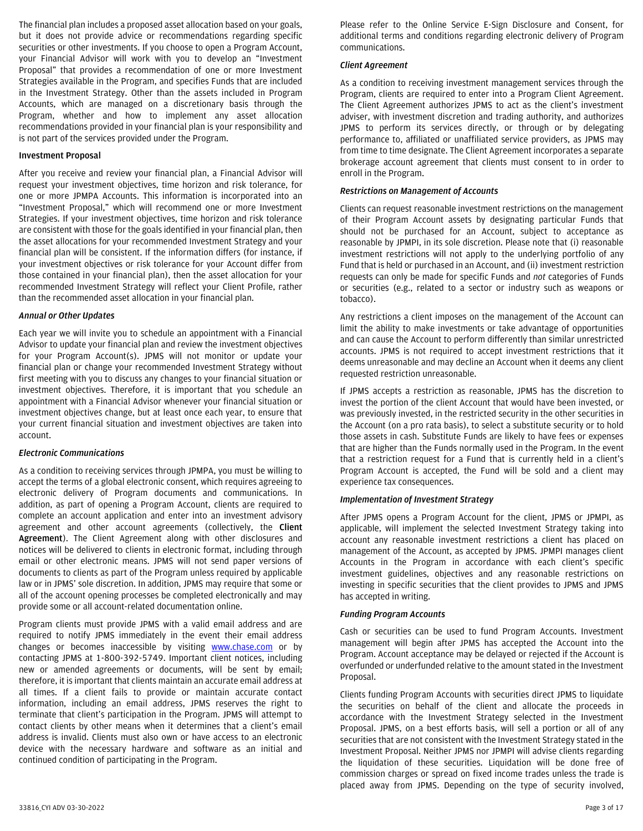The financial plan includes a proposed asset allocation based on your goals, but it does not provide advice or recommendations regarding specific securities or other investments. If you choose to open a Program Account, your Financial Advisor will work with you to develop an "Investment Proposal" that provides a recommendation of one or more Investment Strategies available in the Program, and specifies Funds that are included in the Investment Strategy. Other than the assets included in Program Accounts, which are managed on a discretionary basis through the Program, whether and how to implement any asset allocation recommendations provided in your financial plan is your responsibility and is not part of the services provided under the Program.

### **Investment Proposal**

After you receive and review your financial plan, a Financial Advisor will request your investment objectives, time horizon and risk tolerance, for one or more JPMPA Accounts. This information is incorporated into an "Investment Proposal," which will recommend one or more Investment Strategies. If your investment objectives, time horizon and risk tolerance are consistent with those for the goals identified in your financial plan, then the asset allocations for your recommended Investment Strategy and your financial plan will be consistent. If the information differs (for instance, if your investment objectives or risk tolerance for your Account differ from those contained in your financial plan), then the asset allocation for your recommended Investment Strategy will reflect your Client Profile, rather than the recommended asset allocation in your financial plan.

#### *Annual or Other Updates*

Each year we will invite you to schedule an appointment with a Financial Advisor to update your financial plan and review the investment objectives for your Program Account(s). JPMS will not monitor or update your financial plan or change your recommended Investment Strategy without first meeting with you to discuss any changes to your financial situation or investment objectives. Therefore, it is important that you schedule an appointment with a Financial Advisor whenever your financial situation or investment objectives change, but at least once each year, to ensure that your current financial situation and investment objectives are taken into account.

# *Electronic Communications*

As a condition to receiving services through JPMPA, you must be willing to accept the terms of a global electronic consent, which requires agreeing to electronic delivery of Program documents and communications. In addition, as part of opening a Program Account, clients are required to complete an account application and enter into an investment advisory agreement and other account agreements (collectively, the **Client Agreement**). The Client Agreement along with other disclosures and notices will be delivered to clients in electronic format, including through email or other electronic means. JPMS will not send paper versions of documents to clients as part of the Program unless required by applicable law or in JPMS' sole discretion. In addition, JPMS may require that some or all of the account opening processes be completed electronically and may provide some or all account-related documentation online.

Program clients must provide JPMS with a valid email address and are required to notify JPMS immediately in the event their email address changes or becomes inaccessible by visiting [www.chase.com](http://www.chase.com/) or by contacting JPMS at 1-800-392-5749. Important client notices, including new or amended agreements or documents, will be sent by email; therefore, it is important that clients maintain an accurate email address at all times. If a client fails to provide or maintain accurate contact information, including an email address, JPMS reserves the right to terminate that client's participation in the Program. JPMS will attempt to contact clients by other means when it determines that a client's email address is invalid. Clients must also own or have access to an electronic device with the necessary hardware and software as an initial and continued condition of participating in the Program.

Please refer to the Online Service E-Sign Disclosure and Consent, for additional terms and conditions regarding electronic delivery of Program communications.

#### *Client Agreement*

As a condition to receiving investment management services through the Program, clients are required to enter into a Program Client Agreement. The Client Agreement authorizes JPMS to act as the client's investment adviser, with investment discretion and trading authority, and authorizes JPMS to perform its services directly, or through or by delegating performance to, affiliated or unaffiliated service providers, as JPMS may from time to time designate. The Client Agreement incorporates a separate brokerage account agreement that clients must consent to in order to enroll in the Program.

### *Restrictions on Management of Accounts*

Clients can request reasonable investment restrictions on the management of their Program Account assets by designating particular Funds that should not be purchased for an Account, subject to acceptance as reasonable by JPMPI, in its sole discretion. Please note that (i) reasonable investment restrictions will not apply to the underlying portfolio of any Fund that is held or purchased in an Account, and (ii) investment restriction requests can only be made for specific Funds and *not* categories of Funds or securities (e.g., related to a sector or industry such as weapons or tobacco).

Any restrictions a client imposes on the management of the Account can limit the ability to make investments or take advantage of opportunities and can cause the Account to perform differently than similar unrestricted accounts. JPMS is not required to accept investment restrictions that it deems unreasonable and may decline an Account when it deems any client requested restriction unreasonable.

If JPMS accepts a restriction as reasonable, JPMS has the discretion to invest the portion of the client Account that would have been invested, or was previously invested, in the restricted security in the other securities in the Account (on a pro rata basis), to select a substitute security or to hold those assets in cash. Substitute Funds are likely to have fees or expenses that are higher than the Funds normally used in the Program. In the event that a restriction request for a Fund that is currently held in a client's Program Account is accepted, the Fund will be sold and a client may experience tax consequences.

# *Implementation of Investment Strategy*

After JPMS opens a Program Account for the client, JPMS or JPMPI, as applicable, will implement the selected Investment Strategy taking into account any reasonable investment restrictions a client has placed on management of the Account, as accepted by JPMS. JPMPI manages client Accounts in the Program in accordance with each client's specific investment guidelines, objectives and any reasonable restrictions on investing in specific securities that the client provides to JPMS and JPMS has accepted in writing.

#### *Funding Program Accounts*

Cash or securities can be used to fund Program Accounts. Investment management will begin after JPMS has accepted the Account into the Program. Account acceptance may be delayed or rejected if the Account is overfunded or underfunded relative to the amount stated in the Investment Proposal.

Clients funding Program Accounts with securities direct JPMS to liquidate the securities on behalf of the client and allocate the proceeds in accordance with the Investment Strategy selected in the Investment Proposal. JPMS, on a best efforts basis, will sell a portion or all of any securities that are not consistent with the Investment Strategy stated in the Investment Proposal. Neither JPMS nor JPMPI will advise clients regarding the liquidation of these securities. Liquidation will be done free of commission charges or spread on fixed income trades unless the trade is placed away from JPMS. Depending on the type of security involved,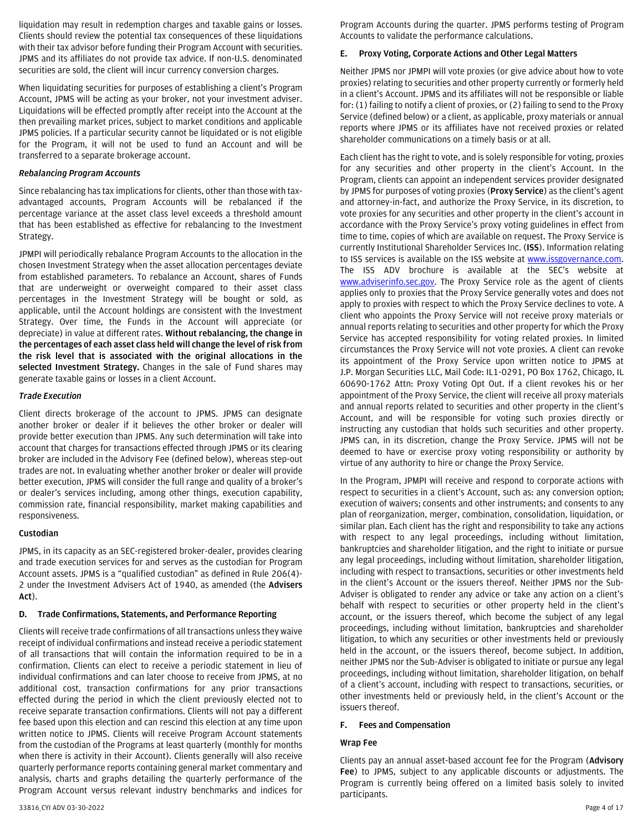liquidation may result in redemption charges and taxable gains or losses. Clients should review the potential tax consequences of these liquidations with their tax advisor before funding their Program Account with securities. JPMS and its affiliates do not provide tax advice. If non-U.S. denominated securities are sold, the client will incur currency conversion charges.

When liquidating securities for purposes of establishing a client's Program Account, JPMS will be acting as your broker, not your investment adviser. Liquidations will be effected promptly after receipt into the Account at the then prevailing market prices, subject to market conditions and applicable JPMS policies. If a particular security cannot be liquidated or is not eligible for the Program, it will not be used to fund an Account and will be transferred to a separate brokerage account.

### *Rebalancing Program Accounts*

Since rebalancing has tax implications for clients, other than those with taxadvantaged accounts, Program Accounts will be rebalanced if the percentage variance at the asset class level exceeds a threshold amount that has been established as effective for rebalancing to the Investment Strategy.

JPMPI will periodically rebalance Program Accounts to the allocation in the chosen Investment Strategy when the asset allocation percentages deviate from established parameters. To rebalance an Account, shares of Funds that are underweight or overweight compared to their asset class percentages in the Investment Strategy will be bought or sold, as applicable, until the Account holdings are consistent with the Investment Strategy. Over time, the Funds in the Account will appreciate (or depreciate) in value at different rates. **Without rebalancing, the change in the percentages of each asset class held will change the level of risk from the risk level that is associated with the original allocations in the selected Investment Strategy.** Changes in the sale of Fund shares may generate taxable gains or losses in a client Account.

#### *Trade Execution*

Client directs brokerage of the account to JPMS. JPMS can designate another broker or dealer if it believes the other broker or dealer will provide better execution than JPMS. Any such determination will take into account that charges for transactions effected through JPMS or its clearing broker are included in the Advisory Fee (defined below), whereas step-out trades are not. In evaluating whether another broker or dealer will provide better execution, JPMS will consider the full range and quality of a broker's or dealer's services including, among other things, execution capability, commission rate, financial responsibility, market making capabilities and responsiveness.

#### **Custodian**

JPMS, in its capacity as an SEC-registered broker-dealer, provides clearing and trade execution services for and serves as the custodian for Program Account assets. JPMS is a "qualified custodian" as defined in Rule 206(4)- 2 under the Investment Advisers Act of 1940, as amended (the **Advisers Act**).

#### **D. Trade Confirmations, Statements, and Performance Reporting**

Clients will receive trade confirmations of all transactions unless they waive receipt of individual confirmations and instead receive a periodic statement of all transactions that will contain the information required to be in a confirmation. Clients can elect to receive a periodic statement in lieu of individual confirmations and can later choose to receive from JPMS, at no additional cost, transaction confirmations for any prior transactions effected during the period in which the client previously elected not to receive separate transaction confirmations. Clients will not pay a different fee based upon this election and can rescind this election at any time upon written notice to JPMS. Clients will receive Program Account statements from the custodian of the Programs at least quarterly (monthly for months when there is activity in their Account). Clients generally will also receive quarterly performance reports containing general market commentary and analysis, charts and graphs detailing the quarterly performance of the Program Account versus relevant industry benchmarks and indices for Program Accounts during the quarter. JPMS performs testing of Program Accounts to validate the performance calculations.

### **E. Proxy Voting, Corporate Actions and Other Legal Matters**

Neither JPMS nor JPMPI will vote proxies (or give advice about how to vote proxies) relating to securities and other property currently or formerly held in a client's Account. JPMS and its affiliates will not be responsible or liable for: (1) failing to notify a client of proxies, or (2) failing to send to the Proxy Service (defined below) or a client, as applicable, proxy materials or annual reports where JPMS or its affiliates have not received proxies or related shareholder communications on a timely basis or at all.

Each client has the right to vote, and is solely responsible for voting, proxies for any securities and other property in the client's Account. In the Program, clients can appoint an independent services provider designated by JPMS for purposes of voting proxies (**Proxy Service**) as the client's agent and attorney-in-fact, and authorize the Proxy Service, in its discretion, to vote proxies for any securities and other property in the client's account in accordance with the Proxy Service's proxy voting guidelines in effect from time to time, copies of which are available on request. The Proxy Service is currently Institutional Shareholder Services Inc. (**ISS**). Information relating to ISS services is available on the ISS website at [www.issgovernance.com.](http://www.issgovernance.com/)  The ISS ADV brochure is available at the SEC's website at [www.adviserinfo.sec.gov.](http://www.adviserinfo.sec.gov/) The Proxy Service role as the agent of clients applies only to proxies that the Proxy Service generally votes and does not apply to proxies with respect to which the Proxy Service declines to vote. A client who appoints the Proxy Service will not receive proxy materials or annual reports relating to securities and other property for which the Proxy Service has accepted responsibility for voting related proxies. In limited circumstances the Proxy Service will not vote proxies. A client can revoke its appointment of the Proxy Service upon written notice to JPMS at J.P. Morgan Securities LLC, Mail Code: IL1-0291, PO Box 1762, Chicago, IL 60690-1762 Attn: Proxy Voting Opt Out. If a client revokes his or her appointment of the Proxy Service, the client will receive all proxy materials and annual reports related to securities and other property in the client's Account, and will be responsible for voting such proxies directly or instructing any custodian that holds such securities and other property. JPMS can, in its discretion, change the Proxy Service. JPMS will not be deemed to have or exercise proxy voting responsibility or authority by virtue of any authority to hire or change the Proxy Service.

In the Program, JPMPI will receive and respond to corporate actions with respect to securities in a client's Account, such as: any conversion option; execution of waivers; consents and other instruments; and consents to any plan of reorganization, merger, combination, consolidation, liquidation, or similar plan. Each client has the right and responsibility to take any actions with respect to any legal proceedings, including without limitation, bankruptcies and shareholder litigation, and the right to initiate or pursue any legal proceedings, including without limitation, shareholder litigation, including with respect to transactions, securities or other investments held in the client's Account or the issuers thereof. Neither JPMS nor the Sub-Adviser is obligated to render any advice or take any action on a client's behalf with respect to securities or other property held in the client's account, or the issuers thereof, which become the subject of any legal proceedings, including without limitation, bankruptcies and shareholder litigation, to which any securities or other investments held or previously held in the account, or the issuers thereof, become subject. In addition, neither JPMS nor the Sub-Adviser is obligated to initiate or pursue any legal proceedings, including without limitation, shareholder litigation, on behalf of a client's account, including with respect to transactions, securities, or other investments held or previously held, in the client's Account or the issuers thereof.

# **F. Fees and Compensation**

# **Wrap Fee**

Clients pay an annual asset-based account fee for the Program (**Advisory Fee**) to JPMS, subject to any applicable discounts or adjustments. The Program is currently being offered on a limited basis solely to invited participants.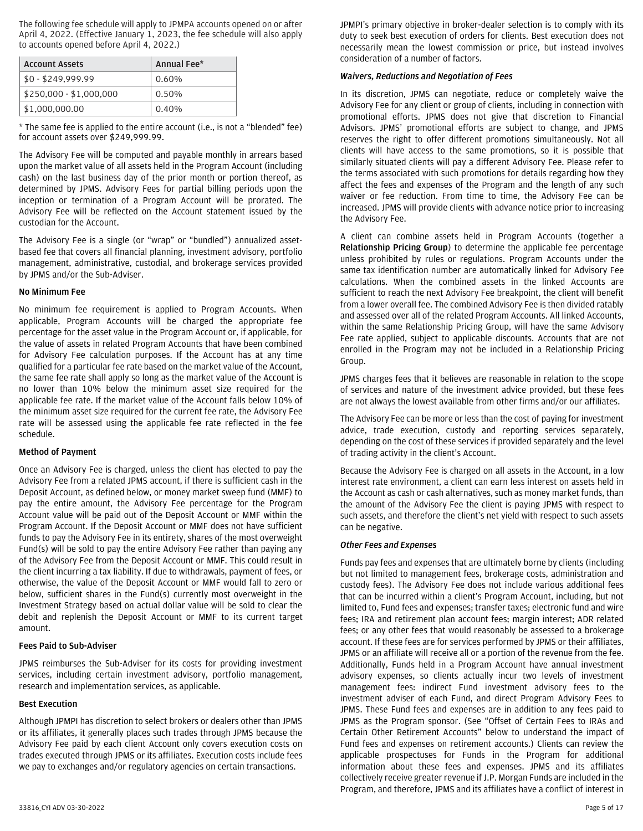The following fee schedule will apply to JPMPA accounts opened on or after April 4, 2022. (Effective January 1, 2023, the fee schedule will also apply to accounts opened before April 4, 2022.)

| <b>Account Assets</b>   | Annual Fee* |
|-------------------------|-------------|
| $$0 - $249,999.99$      | $0.60\%$    |
| \$250,000 - \$1,000,000 | 0.50%       |
| \$1,000,000.00          | 0.40%       |

\* The same fee is applied to the entire account (i.e., is not a "blended" fee) for account assets over \$249,999.99.

The Advisory Fee will be computed and payable monthly in arrears based upon the market value of all assets held in the Program Account (including cash) on the last business day of the prior month or portion thereof, as determined by JPMS. Advisory Fees for partial billing periods upon the inception or termination of a Program Account will be prorated. The Advisory Fee will be reflected on the Account statement issued by the custodian for the Account.

The Advisory Fee is a single (or "wrap" or "bundled") annualized assetbased fee that covers all financial planning, investment advisory, portfolio management, administrative, custodial, and brokerage services provided by JPMS and/or the Sub-Adviser.

### **No Minimum Fee**

No minimum fee requirement is applied to Program Accounts. When applicable, Program Accounts will be charged the appropriate fee percentage for the asset value in the Program Account or, if applicable, for the value of assets in related Program Accounts that have been combined for Advisory Fee calculation purposes. If the Account has at any time qualified for a particular fee rate based on the market value of the Account, the same fee rate shall apply so long as the market value of the Account is no lower than 10% below the minimum asset size required for the applicable fee rate. If the market value of the Account falls below 10% of the minimum asset size required for the current fee rate, the Advisory Fee rate will be assessed using the applicable fee rate reflected in the fee schedule.

### **Method of Payment**

Once an Advisory Fee is charged, unless the client has elected to pay the Advisory Fee from a related JPMS account, if there is sufficient cash in the Deposit Account, as defined below, or money market sweep fund (MMF) to pay the entire amount, the Advisory Fee percentage for the Program Account value will be paid out of the Deposit Account or MMF within the Program Account. If the Deposit Account or MMF does not have sufficient funds to pay the Advisory Fee in its entirety, shares of the most overweight Fund(s) will be sold to pay the entire Advisory Fee rather than paying any of the Advisory Fee from the Deposit Account or MMF. This could result in the client incurring a tax liability. If due to withdrawals, payment of fees, or otherwise, the value of the Deposit Account or MMF would fall to zero or below, sufficient shares in the Fund(s) currently most overweight in the Investment Strategy based on actual dollar value will be sold to clear the debit and replenish the Deposit Account or MMF to its current target amount.

### **Fees Paid to Sub-Adviser**

JPMS reimburses the Sub-Adviser for its costs for providing investment services, including certain investment advisory, portfolio management, research and implementation services, as applicable.

#### **Best Execution**

Although JPMPI has discretion to select brokers or dealers other than JPMS or its affiliates, it generally places such trades through JPMS because the Advisory Fee paid by each client Account only covers execution costs on trades executed through JPMS or its affiliates. Execution costs include fees we pay to exchanges and/or regulatory agencies on certain transactions.

JPMPI's primary objective in broker-dealer selection is to comply with its duty to seek best execution of orders for clients. Best execution does not necessarily mean the lowest commission or price, but instead involves consideration of a number of factors.

#### *Waivers, Reductions and Negotiation of Fees*

In its discretion, JPMS can negotiate, reduce or completely waive the Advisory Fee for any client or group of clients, including in connection with promotional efforts. JPMS does not give that discretion to Financial Advisors. JPMS' promotional efforts are subject to change, and JPMS reserves the right to offer different promotions simultaneously. Not all clients will have access to the same promotions, so it is possible that similarly situated clients will pay a different Advisory Fee. Please refer to the terms associated with such promotions for details regarding how they affect the fees and expenses of the Program and the length of any such waiver or fee reduction. From time to time, the Advisory Fee can be increased. JPMS will provide clients with advance notice prior to increasing the Advisory Fee.

A client can combine assets held in Program Accounts (together a **Relationship Pricing Group**) to determine the applicable fee percentage unless prohibited by rules or regulations. Program Accounts under the same tax identification number are automatically linked for Advisory Fee calculations. When the combined assets in the linked Accounts are sufficient to reach the next Advisory Fee breakpoint, the client will benefit from a lower overall fee. The combined Advisory Fee is then divided ratably and assessed over all of the related Program Accounts. All linked Accounts, within the same Relationship Pricing Group, will have the same Advisory Fee rate applied, subject to applicable discounts. Accounts that are not enrolled in the Program may not be included in a Relationship Pricing Group.

JPMS charges fees that it believes are reasonable in relation to the scope of services and nature of the investment advice provided, but these fees are not always the lowest available from other firms and/or our affiliates.

The Advisory Fee can be more or less than the cost of paying for investment advice, trade execution, custody and reporting services separately, depending on the cost of these services if provided separately and the level of trading activity in the client's Account.

Because the Advisory Fee is charged on all assets in the Account, in a low interest rate environment, a client can earn less interest on assets held in the Account as cash or cash alternatives, such as money market funds, than the amount of the Advisory Fee the client is paying JPMS with respect to such assets, and therefore the client's net yield with respect to such assets can be negative.

#### *Other Fees and Expenses*

Funds pay fees and expenses that are ultimately borne by clients (including but not limited to management fees, brokerage costs, administration and custody fees). The Advisory Fee does not include various additional fees that can be incurred within a client's Program Account, including, but not limited to, Fund fees and expenses; transfer taxes; electronic fund and wire fees; IRA and retirement plan account fees; margin interest; ADR related fees; or any other fees that would reasonably be assessed to a brokerage account. If these fees are for services performed by JPMS or their affiliates, JPMS or an affiliate will receive all or a portion of the revenue from the fee. Additionally, Funds held in a Program Account have annual investment advisory expenses, so clients actually incur two levels of investment management fees: indirect Fund investment advisory fees to the investment adviser of each Fund, and direct Program Advisory Fees to JPMS. These Fund fees and expenses are in addition to any fees paid to JPMS as the Program sponsor. (See "Offset of Certain Fees to IRAs and Certain Other Retirement Accounts" below to understand the impact of Fund fees and expenses on retirement accounts.) Clients can review the applicable prospectuses for Funds in the Program for additional information about these fees and expenses. JPMS and its affiliates collectively receive greater revenue if J.P. Morgan Funds are included in the Program, and therefore, JPMS and its affiliates have a conflict of interest in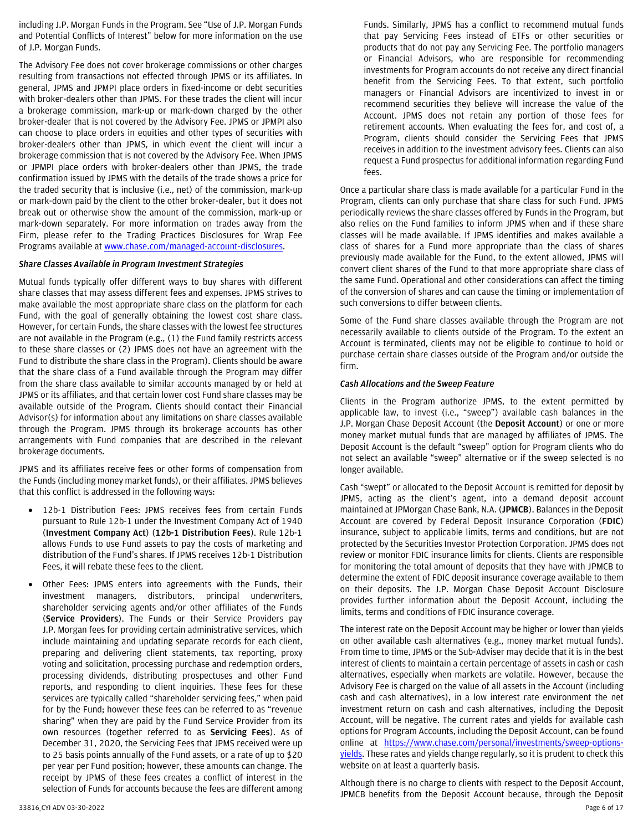including J.P. Morgan Funds in the Program. See "Use of J.P. Morgan Funds and Potential Conflicts of Interest" below for more information on the use of J.P. Morgan Funds.

The Advisory Fee does not cover brokerage commissions or other charges resulting from transactions not effected through JPMS or its affiliates. In general, JPMS and JPMPI place orders in fixed-income or debt securities with broker-dealers other than JPMS. For these trades the client will incur a brokerage commission, mark-up or mark-down charged by the other broker-dealer that is not covered by the Advisory Fee. JPMS or JPMPI also can choose to place orders in equities and other types of securities with broker-dealers other than JPMS, in which event the client will incur a brokerage commission that is not covered by the Advisory Fee. When JPMS or JPMPI place orders with broker-dealers other than JPMS, the trade confirmation issued by JPMS with the details of the trade shows a price for the traded security that is inclusive (i.e., net) of the commission, mark-up or mark-down paid by the client to the other broker-dealer, but it does not break out or otherwise show the amount of the commission, mark-up or mark-down separately. For more information on trades away from the Firm, please refer to the Trading Practices Disclosures for Wrap Fee Programs available a[t www.chase.com/managed-account-disclosures.](http://www.chase.com/managed-account-disclosures) 

#### *Share Classes Available in Program Investment Strategies*

Mutual funds typically offer different ways to buy shares with different share classes that may assess different fees and expenses. JPMS strives to make available the most appropriate share class on the platform for each Fund, with the goal of generally obtaining the lowest cost share class. However, for certain Funds, the share classes with the lowest fee structures are not available in the Program (e.g., (1) the Fund family restricts access to these share classes or (2) JPMS does not have an agreement with the Fund to distribute the share class in the Program). Clients should be aware that the share class of a Fund available through the Program may differ from the share class available to similar accounts managed by or held at JPMS or its affiliates, and that certain lower cost Fund share classes may be available outside of the Program. Clients should contact their Financial Advisor(s) for information about any limitations on share classes available through the Program. JPMS through its brokerage accounts has other arrangements with Fund companies that are described in the relevant brokerage documents.

JPMS and its affiliates receive fees or other forms of compensation from the Funds (including money market funds), or their affiliates. JPMS believes that this conflict is addressed in the following ways:

- 12b-1 Distribution Fees: JPMS receives fees from certain Funds pursuant to Rule 12b-1 under the Investment Company Act of 1940 (**Investment Company Act**) (**12b-1 Distribution Fees**). Rule 12b-1 allows Funds to use Fund assets to pay the costs of marketing and distribution of the Fund's shares. If JPMS receives 12b-1 Distribution Fees, it will rebate these fees to the client.
- Other Fees: JPMS enters into agreements with the Funds, their investment managers, distributors, principal underwriters, shareholder servicing agents and/or other affiliates of the Funds (**Service Providers**). The Funds or their Service Providers pay J.P. Morgan fees for providing certain administrative services, which include maintaining and updating separate records for each client, preparing and delivering client statements, tax reporting, proxy voting and solicitation, processing purchase and redemption orders, processing dividends, distributing prospectuses and other Fund reports, and responding to client inquiries. These fees for these services are typically called "shareholder servicing fees," when paid for by the Fund; however these fees can be referred to as "revenue sharing" when they are paid by the Fund Service Provider from its own resources (together referred to as **Servicing Fees**). As of December 31, 2020, the Servicing Fees that JPMS received were up to 25 basis points annually of the Fund assets, or a rate of up to \$20 per year per Fund position; however, these amounts can change. The receipt by JPMS of these fees creates a conflict of interest in the selection of Funds for accounts because the fees are different among

Funds. Similarly, JPMS has a conflict to recommend mutual funds that pay Servicing Fees instead of ETFs or other securities or products that do not pay any Servicing Fee. The portfolio managers or Financial Advisors, who are responsible for recommending investments for Program accounts do not receive any direct financial benefit from the Servicing Fees. To that extent, such portfolio managers or Financial Advisors are incentivized to invest in or recommend securities they believe will increase the value of the Account. JPMS does not retain any portion of those fees for retirement accounts. When evaluating the fees for, and cost of, a Program, clients should consider the Servicing Fees that JPMS receives in addition to the investment advisory fees. Clients can also request a Fund prospectus for additional information regarding Fund fees.

Once a particular share class is made available for a particular Fund in the Program, clients can only purchase that share class for such Fund. JPMS periodically reviews the share classes offered by Funds in the Program, but also relies on the Fund families to inform JPMS when and if these share classes will be made available. If JPMS identifies and makes available a class of shares for a Fund more appropriate than the class of shares previously made available for the Fund, to the extent allowed, JPMS will convert client shares of the Fund to that more appropriate share class of the same Fund. Operational and other considerations can affect the timing of the conversion of shares and can cause the timing or implementation of such conversions to differ between clients.

Some of the Fund share classes available through the Program are not necessarily available to clients outside of the Program. To the extent an Account is terminated, clients may not be eligible to continue to hold or purchase certain share classes outside of the Program and/or outside the firm.

# *Cash Allocations and the Sweep Feature*

Clients in the Program authorize JPMS, to the extent permitted by applicable law, to invest (i.e., "sweep") available cash balances in the J.P. Morgan Chase Deposit Account (the **Deposit Account**) or one or more money market mutual funds that are managed by affiliates of JPMS. The Deposit Account is the default "sweep" option for Program clients who do not select an available "sweep" alternative or if the sweep selected is no longer available.

Cash "swept" or allocated to the Deposit Account is remitted for deposit by JPMS, acting as the client's agent, into a demand deposit account maintained at JPMorgan Chase Bank, N.A. (**JPMCB**). Balances in the Deposit Account are covered by Federal Deposit Insurance Corporation (**FDIC**) insurance, subject to applicable limits, terms and conditions, but are not protected by the Securities Investor Protection Corporation. JPMS does not review or monitor FDIC insurance limits for clients. Clients are responsible for monitoring the total amount of deposits that they have with JPMCB to determine the extent of FDIC deposit insurance coverage available to them on their deposits. The J.P. Morgan Chase Deposit Account Disclosure provides further information about the Deposit Account, including the limits, terms and conditions of FDIC insurance coverage.

The interest rate on the Deposit Account may be higher or lower than yields on other available cash alternatives (e.g., money market mutual funds). From time to time, JPMS or the Sub-Adviser may decide that it is in the best interest of clients to maintain a certain percentage of assets in cash or cash alternatives, especially when markets are volatile. However, because the Advisory Fee is charged on the value of all assets in the Account (including cash and cash alternatives), in a low interest rate environment the net investment return on cash and cash alternatives, including the Deposit Account, will be negative. The current rates and yields for available cash options for Program Accounts, including the Deposit Account, can be found online at [https://www.chase.com/personal/investments/sweep-options](https://www.chase.com/personal/investments/sweep-options-yields)[yields.](https://www.chase.com/personal/investments/sweep-options-yields) These rates and yields change regularly, so it is prudent to check this website on at least a quarterly basis.

Although there is no charge to clients with respect to the Deposit Account, JPMCB benefits from the Deposit Account because, through the Deposit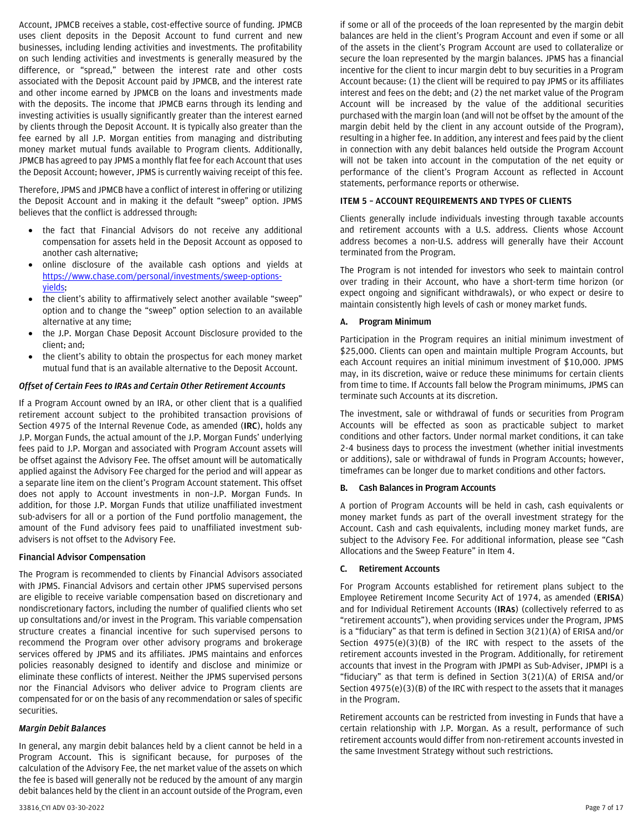Account, JPMCB receives a stable, cost-effective source of funding. JPMCB uses client deposits in the Deposit Account to fund current and new businesses, including lending activities and investments. The profitability on such lending activities and investments is generally measured by the difference, or "spread," between the interest rate and other costs associated with the Deposit Account paid by JPMCB, and the interest rate and other income earned by JPMCB on the loans and investments made with the deposits. The income that JPMCB earns through its lending and investing activities is usually significantly greater than the interest earned by clients through the Deposit Account. It is typically also greater than the fee earned by all J.P. Morgan entities from managing and distributing money market mutual funds available to Program clients. Additionally, JPMCB has agreed to pay JPMS a monthly flat fee for each Account that uses the Deposit Account; however, JPMS is currently waiving receipt of this fee.

Therefore, JPMS and JPMCB have a conflict of interest in offering or utilizing the Deposit Account and in making it the default "sweep" option. JPMS believes that the conflict is addressed through:

- the fact that Financial Advisors do not receive any additional compensation for assets held in the Deposit Account as opposed to another cash alternative;
- online disclosure of the available cash options and yields at [https://www.chase.com/personal/investments/sweep-options](https://www.chase.com/personal/investments/sweep-options-yields)[yields;](https://www.chase.com/personal/investments/sweep-options-yields)
- the client's ability to affirmatively select another available "sweep" option and to change the "sweep" option selection to an available alternative at any time;
- the J.P. Morgan Chase Deposit Account Disclosure provided to the client; and;
- the client's ability to obtain the prospectus for each money market mutual fund that is an available alternative to the Deposit Account.

#### *Offset of Certain Fees to IRAs and Certain Other Retirement Accounts*

If a Program Account owned by an IRA, or other client that is a qualified retirement account subject to the prohibited transaction provisions of Section 4975 of the Internal Revenue Code, as amended (**IRC**), holds any J.P. Morgan Funds, the actual amount of the J.P. Morgan Funds' underlying fees paid to J.P. Morgan and associated with Program Account assets will be offset against the Advisory Fee. The offset amount will be automatically applied against the Advisory Fee charged for the period and will appear as a separate line item on the client's Program Account statement. This offset does not apply to Account investments in non–J.P. Morgan Funds. In addition, for those J.P. Morgan Funds that utilize unaffiliated investment sub-advisers for all or a portion of the Fund portfolio management, the amount of the Fund advisory fees paid to unaffiliated investment subadvisers is not offset to the Advisory Fee.

#### **Financial Advisor Compensation**

The Program is recommended to clients by Financial Advisors associated with JPMS. Financial Advisors and certain other JPMS supervised persons are eligible to receive variable compensation based on discretionary and nondiscretionary factors, including the number of qualified clients who set up consultations and/or invest in the Program. This variable compensation structure creates a financial incentive for such supervised persons to recommend the Program over other advisory programs and brokerage services offered by JPMS and its affiliates. JPMS maintains and enforces policies reasonably designed to identify and disclose and minimize or eliminate these conflicts of interest. Neither the JPMS supervised persons nor the Financial Advisors who deliver advice to Program clients are compensated for or on the basis of any recommendation or sales of specific securities.

#### *Margin Debit Balances*

In general, any margin debit balances held by a client cannot be held in a Program Account. This is significant because, for purposes of the calculation of the Advisory Fee, the net market value of the assets on which the fee is based will generally not be reduced by the amount of any margin debit balances held by the client in an account outside of the Program, even

if some or all of the proceeds of the loan represented by the margin debit balances are held in the client's Program Account and even if some or all of the assets in the client's Program Account are used to collateralize or secure the loan represented by the margin balances. JPMS has a financial incentive for the client to incur margin debt to buy securities in a Program Account because: (1) the client will be required to pay JPMS or its affiliates interest and fees on the debt; and (2) the net market value of the Program Account will be increased by the value of the additional securities purchased with the margin loan (and will not be offset by the amount of the margin debit held by the client in any account outside of the Program), resulting in a higher fee. In addition, any interest and fees paid by the client in connection with any debit balances held outside the Program Account will not be taken into account in the computation of the net equity or performance of the client's Program Account as reflected in Account statements, performance reports or otherwise.

#### <span id="page-6-0"></span>**ITEM 5 – ACCOUNT REQUIREMENTS AND TYPES OF CLIENTS**

Clients generally include individuals investing through taxable accounts and retirement accounts with a U.S. address. Clients whose Account address becomes a non-U.S. address will generally have their Account terminated from the Program.

The Program is not intended for investors who seek to maintain control over trading in their Account, who have a short-term time horizon (or expect ongoing and significant withdrawals), or who expect or desire to maintain consistently high levels of cash or money market funds.

### **A. Program Minimum**

Participation in the Program requires an initial minimum investment of \$25,000. Clients can open and maintain multiple Program Accounts, but each Account requires an initial minimum investment of \$10,000. JPMS may, in its discretion, waive or reduce these minimums for certain clients from time to time. If Accounts fall below the Program minimums, JPMS can terminate such Accounts at its discretion.

The investment, sale or withdrawal of funds or securities from Program Accounts will be effected as soon as practicable subject to market conditions and other factors. Under normal market conditions, it can take 2-4 business days to process the investment (whether initial investments or additions), sale or withdrawal of funds in Program Accounts; however, timeframes can be longer due to market conditions and other factors.

#### **B. Cash Balances in Program Accounts**

A portion of Program Accounts will be held in cash, cash equivalents or money market funds as part of the overall investment strategy for the Account. Cash and cash equivalents, including money market funds, are subject to the Advisory Fee. For additional information, please see "Cash Allocations and the Sweep Feature" in Item 4.

#### **C. Retirement Accounts**

For Program Accounts established for retirement plans subject to the Employee Retirement Income Security Act of 1974, as amended (**ERISA**) and for Individual Retirement Accounts (**IRAs**) (collectively referred to as "retirement accounts"), when providing services under the Program, JPMS is a "fiduciary" as that term is defined in Section 3(21)(A) of ERISA and/or Section 4975(e)(3)(B) of the IRC with respect to the assets of the retirement accounts invested in the Program. Additionally, for retirement accounts that invest in the Program with JPMPI as Sub-Adviser, JPMPI is a "fiduciary" as that term is defined in Section 3(21)(A) of ERISA and/or Section 4975(e)(3)(B) of the IRC with respect to the assets that it manages in the Program.

Retirement accounts can be restricted from investing in Funds that have a certain relationship with J.P. Morgan. As a result, performance of such retirement accounts would differ from non-retirement accounts invested in the same Investment Strategy without such restrictions.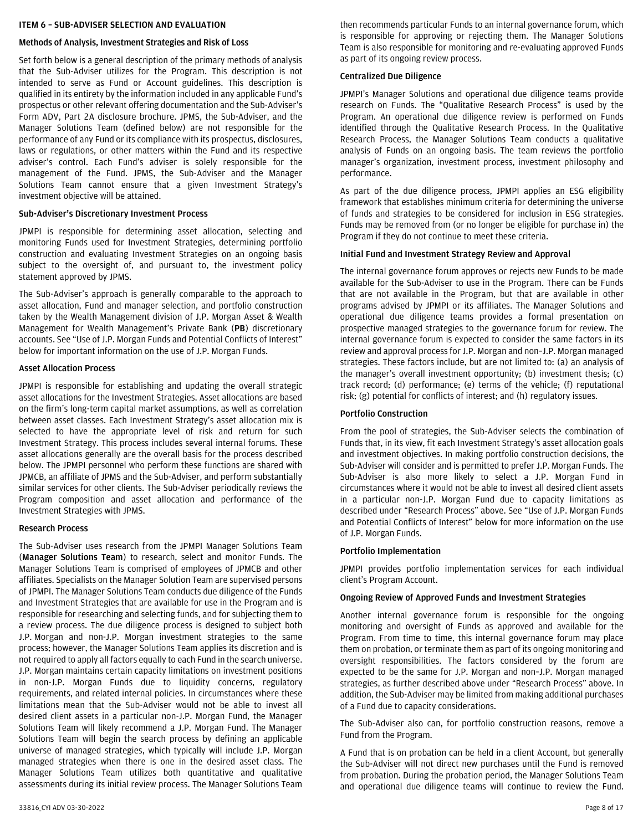#### <span id="page-7-0"></span>**ITEM 6 – SUB-ADVISER SELECTION AND EVALUATION**

#### **Methods of Analysis, Investment Strategies and Risk of Loss**

Set forth below is a general description of the primary methods of analysis that the Sub-Adviser utilizes for the Program. This description is not intended to serve as Fund or Account guidelines. This description is qualified in its entirety by the information included in any applicable Fund's prospectus or other relevant offering documentation and the Sub-Adviser's Form ADV, Part 2A disclosure brochure. JPMS, the Sub-Adviser, and the Manager Solutions Team (defined below) are not responsible for the performance of any Fund or its compliance with its prospectus, disclosures, laws or regulations, or other matters within the Fund and its respective adviser's control. Each Fund's adviser is solely responsible for the management of the Fund. JPMS, the Sub-Adviser and the Manager Solutions Team cannot ensure that a given Investment Strategy's investment objective will be attained.

#### **Sub-Adviser's Discretionary Investment Process**

JPMPI is responsible for determining asset allocation, selecting and monitoring Funds used for Investment Strategies, determining portfolio construction and evaluating Investment Strategies on an ongoing basis subject to the oversight of, and pursuant to, the investment policy statement approved by JPMS.

The Sub-Adviser's approach is generally comparable to the approach to asset allocation, Fund and manager selection, and portfolio construction taken by the Wealth Management division of J.P. Morgan Asset & Wealth Management for Wealth Management's Private Bank (**PB**) discretionary accounts. See "Use of J.P. Morgan Funds and Potential Conflicts of Interest" below for important information on the use of J.P. Morgan Funds.

#### **Asset Allocation Process**

JPMPI is responsible for establishing and updating the overall strategic asset allocations for the Investment Strategies. Asset allocations are based on the firm's long-term capital market assumptions, as well as correlation between asset classes. Each Investment Strategy's asset allocation mix is selected to have the appropriate level of risk and return for such Investment Strategy. This process includes several internal forums. These asset allocations generally are the overall basis for the process described below. The JPMPI personnel who perform these functions are shared with JPMCB, an affiliate of JPMS and the Sub-Adviser, and perform substantially similar services for other clients. The Sub-Adviser periodically reviews the Program composition and asset allocation and performance of the Investment Strategies with JPMS.

#### **Research Process**

The Sub-Adviser uses research from the JPMPI Manager Solutions Team (**Manager Solutions Team**) to research, select and monitor Funds. The Manager Solutions Team is comprised of employees of JPMCB and other affiliates. Specialists on the Manager Solution Team are supervised persons of JPMPI. The Manager Solutions Team conducts due diligence of the Funds and Investment Strategies that are available for use in the Program and is responsible for researching and selecting funds, and for subjecting them to a review process. The due diligence process is designed to subject both J.P. Morgan and non-J.P. Morgan investment strategies to the same process; however, the Manager Solutions Team applies its discretion and is not required to apply all factors equally to each Fund in the search universe. J.P. Morgan maintains certain capacity limitations on investment positions in non-J.P. Morgan Funds due to liquidity concerns, regulatory requirements, and related internal policies. In circumstances where these limitations mean that the Sub-Adviser would not be able to invest all desired client assets in a particular non-J.P. Morgan Fund, the Manager Solutions Team will likely recommend a J.P. Morgan Fund. The Manager Solutions Team will begin the search process by defining an applicable universe of managed strategies, which typically will include J.P. Morgan managed strategies when there is one in the desired asset class. The Manager Solutions Team utilizes both quantitative and qualitative assessments during its initial review process. The Manager Solutions Team

#### **Centralized Due Diligence**

JPMPI's Manager Solutions and operational due diligence teams provide research on Funds. The "Qualitative Research Process" is used by the Program. An operational due diligence review is performed on Funds identified through the Qualitative Research Process. In the Qualitative Research Process, the Manager Solutions Team conducts a qualitative analysis of Funds on an ongoing basis. The team reviews the portfolio manager's organization, investment process, investment philosophy and performance.

As part of the due diligence process, JPMPI applies an ESG eligibility framework that establishes minimum criteria for determining the universe of funds and strategies to be considered for inclusion in ESG strategies. Funds may be removed from (or no longer be eligible for purchase in) the Program if they do not continue to meet these criteria.

#### **Initial Fund and Investment Strategy Review and Approval**

The internal governance forum approves or rejects new Funds to be made available for the Sub-Adviser to use in the Program. There can be Funds that are not available in the Program, but that are available in other programs advised by JPMPI or its affiliates. The Manager Solutions and operational due diligence teams provides a formal presentation on prospective managed strategies to the governance forum for review. The internal governance forum is expected to consider the same factors in its review and approval process for J.P. Morgan and non–J.P. Morgan managed strategies. These factors include, but are not limited to: (a) an analysis of the manager's overall investment opportunity; (b) investment thesis; (c) track record; (d) performance; (e) terms of the vehicle; (f) reputational risk; (g) potential for conflicts of interest; and (h) regulatory issues.

### **Portfolio Construction**

From the pool of strategies, the Sub-Adviser selects the combination of Funds that, in its view, fit each Investment Strategy's asset allocation goals and investment objectives. In making portfolio construction decisions, the Sub-Adviser will consider and is permitted to prefer J.P. Morgan Funds. The Sub-Adviser is also more likely to select a J.P. Morgan Fund in circumstances where it would not be able to invest all desired client assets in a particular non-J.P. Morgan Fund due to capacity limitations as described under "Research Process" above. See "Use of J.P. Morgan Funds and Potential Conflicts of Interest" below for more information on the use of J.P. Morgan Funds.

#### **Portfolio Implementation**

JPMPI provides portfolio implementation services for each individual client's Program Account.

#### **Ongoing Review of Approved Funds and Investment Strategies**

Another internal governance forum is responsible for the ongoing monitoring and oversight of Funds as approved and available for the Program. From time to time, this internal governance forum may place them on probation, or terminate them as part of its ongoing monitoring and oversight responsibilities. The factors considered by the forum are expected to be the same for J.P. Morgan and non–J.P. Morgan managed strategies, as further described above under "Research Process" above. In addition, the Sub-Adviser may be limited from making additional purchases of a Fund due to capacity considerations.

The Sub-Adviser also can, for portfolio construction reasons, remove a Fund from the Program.

A Fund that is on probation can be held in a client Account, but generally the Sub-Adviser will not direct new purchases until the Fund is removed from probation. During the probation period, the Manager Solutions Team and operational due diligence teams will continue to review the Fund.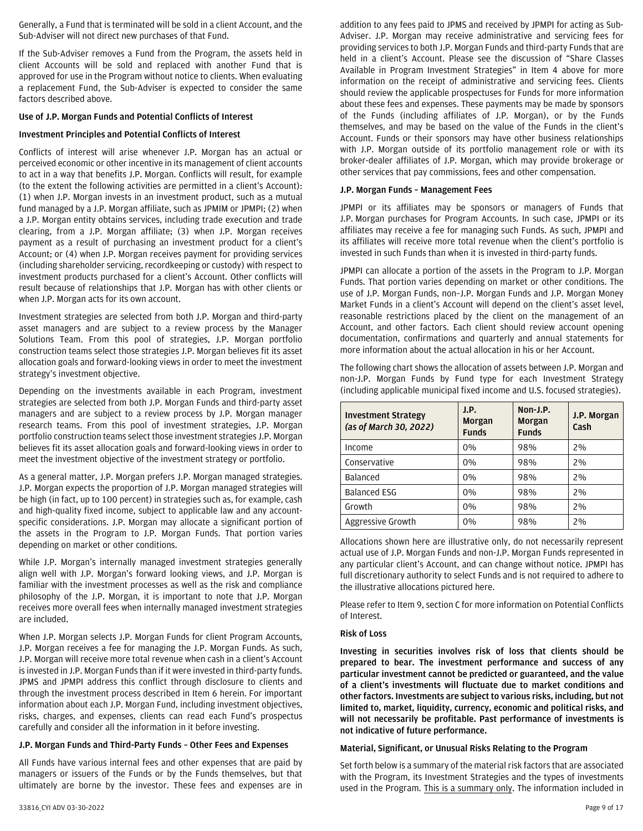Generally, a Fund that is terminated will be sold in a client Account, and the Sub-Adviser will not direct new purchases of that Fund.

If the Sub-Adviser removes a Fund from the Program, the assets held in client Accounts will be sold and replaced with another Fund that is approved for use in the Program without notice to clients. When evaluating a replacement Fund, the Sub-Adviser is expected to consider the same factors described above.

### **Use of J.P. Morgan Funds and Potential Conflicts of Interest**

### **Investment Principles and Potential Conflicts of Interest**

Conflicts of interest will arise whenever J.P. Morgan has an actual or perceived economic or other incentive in its management of client accounts to act in a way that benefits J.P. Morgan. Conflicts will result, for example (to the extent the following activities are permitted in a client's Account): (1) when J.P. Morgan invests in an investment product, such as a mutual fund managed by a J.P. Morgan affiliate, such as JPMIM or JPMPI; (2) when a J.P. Morgan entity obtains services, including trade execution and trade clearing, from a J.P. Morgan affiliate; (3) when J.P. Morgan receives payment as a result of purchasing an investment product for a client's Account; or (4) when J.P. Morgan receives payment for providing services (including shareholder servicing, recordkeeping or custody) with respect to investment products purchased for a client's Account. Other conflicts will result because of relationships that J.P. Morgan has with other clients or when J.P. Morgan acts for its own account.

Investment strategies are selected from both J.P. Morgan and third-party asset managers and are subject to a review process by the Manager Solutions Team. From this pool of strategies, J.P. Morgan portfolio construction teams select those strategies J.P. Morgan believes fit its asset allocation goals and forward-looking views in order to meet the investment strategy's investment objective.

Depending on the investments available in each Program, investment strategies are selected from both J.P. Morgan Funds and third-party asset managers and are subject to a review process by J.P. Morgan manager research teams. From this pool of investment strategies, J.P. Morgan portfolio construction teams select those investment strategies J.P. Morgan believes fit its asset allocation goals and forward-looking views in order to meet the investment objective of the investment strategy or portfolio.

As a general matter, J.P. Morgan prefers J.P. Morgan managed strategies. J.P. Morgan expects the proportion of J.P. Morgan managed strategies will be high (in fact, up to 100 percent) in strategies such as, for example, cash and high-quality fixed income, subject to applicable law and any accountspecific considerations. J.P. Morgan may allocate a significant portion of the assets in the Program to J.P. Morgan Funds. That portion varies depending on market or other conditions.

While J.P. Morgan's internally managed investment strategies generally align well with J.P. Morgan's forward looking views, and J.P. Morgan is familiar with the investment processes as well as the risk and compliance philosophy of the J.P. Morgan, it is important to note that J.P. Morgan receives more overall fees when internally managed investment strategies are included.

When J.P. Morgan selects J.P. Morgan Funds for client Program Accounts, J.P. Morgan receives a fee for managing the J.P. Morgan Funds. As such, J.P. Morgan will receive more total revenue when cash in a client's Account is invested in J.P. Morgan Funds than if it were invested in third-party funds. JPMS and JPMPI address this conflict through disclosure to clients and through the investment process described in Item 6 herein. For important information about each J.P. Morgan Fund, including investment objectives, risks, charges, and expenses, clients can read each Fund's prospectus carefully and consider all the information in it before investing.

# **J.P. Morgan Funds and Third-Party Funds – Other Fees and Expenses**

All Funds have various internal fees and other expenses that are paid by managers or issuers of the Funds or by the Funds themselves, but that ultimately are borne by the investor. These fees and expenses are in

addition to any fees paid to JPMS and received by JPMPI for acting as Sub-Adviser. J.P. Morgan may receive administrative and servicing fees for providing services to both J.P. Morgan Funds and third-party Funds that are held in a client's Account. Please see the discussion of "Share Classes Available in Program Investment Strategies" in Item 4 above for more information on the receipt of administrative and servicing fees. Clients should review the applicable prospectuses for Funds for more information about these fees and expenses. These payments may be made by sponsors of the Funds (including affiliates of J.P. Morgan), or by the Funds themselves, and may be based on the value of the Funds in the client's Account. Funds or their sponsors may have other business relationships with J.P. Morgan outside of its portfolio management role or with its broker-dealer affiliates of J.P. Morgan, which may provide brokerage or other services that pay commissions, fees and other compensation.

# **J.P. Morgan Funds – Management Fees**

JPMPI or its affiliates may be sponsors or managers of Funds that J.P. Morgan purchases for Program Accounts. In such case, JPMPI or its affiliates may receive a fee for managing such Funds. As such, JPMPI and its affiliates will receive more total revenue when the client's portfolio is invested in such Funds than when it is invested in third-party funds.

JPMPI can allocate a portion of the assets in the Program to J.P. Morgan Funds. That portion varies depending on market or other conditions. The use of J.P. Morgan Funds, non–J.P. Morgan Funds and J.P. Morgan Money Market Funds in a client's Account will depend on the client's asset level, reasonable restrictions placed by the client on the management of an Account, and other factors. Each client should review account opening documentation, confirmations and quarterly and annual statements for more information about the actual allocation in his or her Account.

The following chart shows the allocation of assets between J.P. Morgan and non-J.P. Morgan Funds by Fund type for each Investment Strategy (including applicable municipal fixed income and U.S. focused strategies).

| <b>Investment Strategy</b><br>(as of March 30, 2022) | J.P.<br>Morgan<br><b>Funds</b> | Non-J.P.<br><b>Morgan</b><br><b>Funds</b> | J.P. Morgan<br>Cash |
|------------------------------------------------------|--------------------------------|-------------------------------------------|---------------------|
| Income                                               | 0%                             | 98%                                       | 2%                  |
| Conservative                                         | 0%                             | 98%                                       | 2%                  |
| <b>Balanced</b>                                      | 0%                             | 98%                                       | 2%                  |
| <b>Balanced ESG</b>                                  | 0%                             | 98%                                       | 2%                  |
| Growth                                               | 0%                             | 98%                                       | 2%                  |
| Aggressive Growth                                    | 0%                             | 98%                                       | 2%                  |

Allocations shown here are illustrative only, do not necessarily represent actual use of J.P. Morgan Funds and non-J.P. Morgan Funds represented in any particular client's Account, and can change without notice. JPMPI has full discretionary authority to select Funds and is not required to adhere to the illustrative allocations pictured here.

Please refer to Item 9, section C for more information on Potential Conflicts of Interest.

### **Risk of Loss**

**Investing in securities involves risk of loss that clients should be prepared to bear. The investment performance and success of any particular investment cannot be predicted or guaranteed, and the value of a client's investments will fluctuate due to market conditions and other factors. Investments are subject to various risks, including, but not limited to, market, liquidity, currency, economic and political risks, and will not necessarily be profitable. Past performance of investments is not indicative of future performance.**

#### **Material, Significant, or Unusual Risks Relating to the Program**

Set forth below is a summary of the material risk factors that are associated with the Program, its Investment Strategies and the types of investments used in the Program. This is a summary only. The information included in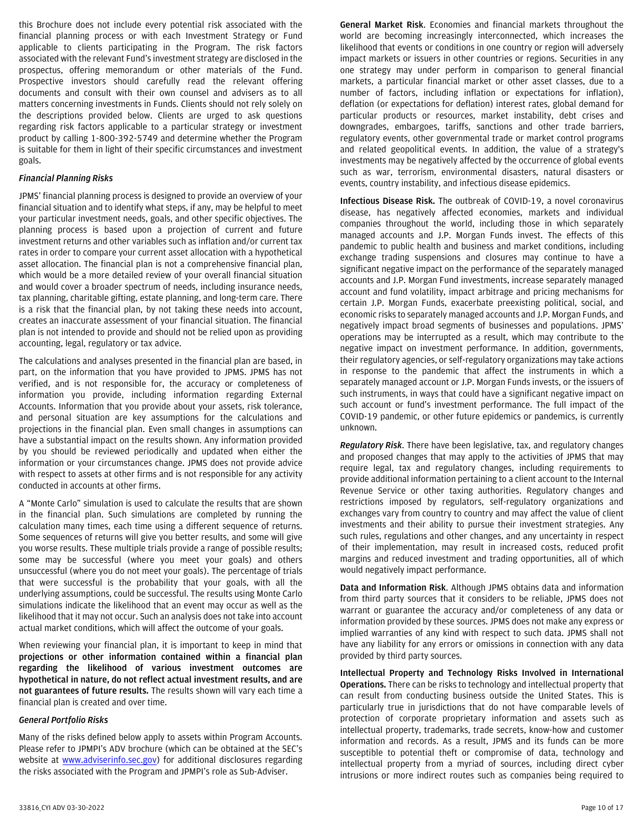this Brochure does not include every potential risk associated with the financial planning process or with each Investment Strategy or Fund applicable to clients participating in the Program. The risk factors associated with the relevant Fund's investment strategy are disclosed in the prospectus, offering memorandum or other materials of the Fund. Prospective investors should carefully read the relevant offering documents and consult with their own counsel and advisers as to all matters concerning investments in Funds. Clients should not rely solely on the descriptions provided below. Clients are urged to ask questions regarding risk factors applicable to a particular strategy or investment product by calling 1-800-392-5749 and determine whether the Program is suitable for them in light of their specific circumstances and investment goals.

### *Financial Planning Risks*

JPMS' financial planning process is designed to provide an overview of your financial situation and to identify what steps, if any, may be helpful to meet your particular investment needs, goals, and other specific objectives. The planning process is based upon a projection of current and future investment returns and other variables such as inflation and/or current tax rates in order to compare your current asset allocation with a hypothetical asset allocation. The financial plan is not a comprehensive financial plan, which would be a more detailed review of your overall financial situation and would cover a broader spectrum of needs, including insurance needs, tax planning, charitable gifting, estate planning, and long-term care. There is a risk that the financial plan, by not taking these needs into account, creates an inaccurate assessment of your financial situation. The financial plan is not intended to provide and should not be relied upon as providing accounting, legal, regulatory or tax advice.

The calculations and analyses presented in the financial plan are based, in part, on the information that you have provided to JPMS. JPMS has not verified, and is not responsible for, the accuracy or completeness of information you provide, including information regarding External Accounts. Information that you provide about your assets, risk tolerance, and personal situation are key assumptions for the calculations and projections in the financial plan. Even small changes in assumptions can have a substantial impact on the results shown. Any information provided by you should be reviewed periodically and updated when either the information or your circumstances change. JPMS does not provide advice with respect to assets at other firms and is not responsible for any activity conducted in accounts at other firms.

A "Monte Carlo" simulation is used to calculate the results that are shown in the financial plan. Such simulations are completed by running the calculation many times, each time using a different sequence of returns. Some sequences of returns will give you better results, and some will give you worse results. These multiple trials provide a range of possible results; some may be successful (where you meet your goals) and others unsuccessful (where you do not meet your goals). The percentage of trials that were successful is the probability that your goals, with all the underlying assumptions, could be successful. The results using Monte Carlo simulations indicate the likelihood that an event may occur as well as the likelihood that it may not occur. Such an analysis does not take into account actual market conditions, which will affect the outcome of your goals.

When reviewing your financial plan, it is important to keep in mind that **projections or other information contained within a financial plan regarding the likelihood of various investment outcomes are hypothetical in nature, do not reflect actual investment results, and are not guarantees of future results.** The results shown will vary each time a financial plan is created and over time.

#### *General Portfolio Risks*

Many of the risks defined below apply to assets within Program Accounts. Please refer to JPMPI's ADV brochure (which can be obtained at the SEC's website at **www.adviserinfo.sec.gov**) for additional disclosures regarding the risks associated with the Program and JPMPI's role as Sub-Adviser.

**General Market Risk**. Economies and financial markets throughout the world are becoming increasingly interconnected, which increases the likelihood that events or conditions in one country or region will adversely impact markets or issuers in other countries or regions. Securities in any one strategy may under perform in comparison to general financial markets, a particular financial market or other asset classes, due to a number of factors, including inflation or expectations for inflation), deflation (or expectations for deflation) interest rates, global demand for particular products or resources, market instability, debt crises and downgrades, embargoes, tariffs, sanctions and other trade barriers, regulatory events, other governmental trade or market control programs and related geopolitical events. In addition, the value of a strategy's investments may be negatively affected by the occurrence of global events such as war, terrorism, environmental disasters, natural disasters or events, country instability, and infectious disease epidemics.

**Infectious Disease Risk.** The outbreak of COVID-19, a novel coronavirus disease, has negatively affected economies, markets and individual companies throughout the world, including those in which separately managed accounts and J.P. Morgan Funds invest. The effects of this pandemic to public health and business and market conditions, including exchange trading suspensions and closures may continue to have a significant negative impact on the performance of the separately managed accounts and J.P. Morgan Fund investments, increase separately managed account and fund volatility, impact arbitrage and pricing mechanisms for certain J.P. Morgan Funds, exacerbate preexisting political, social, and economic risks to separately managed accounts and J.P. Morgan Funds, and negatively impact broad segments of businesses and populations. JPMS' operations may be interrupted as a result, which may contribute to the negative impact on investment performance. In addition, governments, their regulatory agencies, or self-regulatory organizations may take actions in response to the pandemic that affect the instruments in which a separately managed account or J.P. Morgan Funds invests, or the issuers of such instruments, in ways that could have a significant negative impact on such account or fund's investment performance. The full impact of the COVID-19 pandemic, or other future epidemics or pandemics, is currently unknown.

*Regulatory Risk*. There have been legislative, tax, and regulatory changes and proposed changes that may apply to the activities of JPMS that may require legal, tax and regulatory changes, including requirements to provide additional information pertaining to a client account to the Internal Revenue Service or other taxing authorities. Regulatory changes and restrictions imposed by regulators, self-regulatory organizations and exchanges vary from country to country and may affect the value of client investments and their ability to pursue their investment strategies. Any such rules, regulations and other changes, and any uncertainty in respect of their implementation, may result in increased costs, reduced profit margins and reduced investment and trading opportunities, all of which would negatively impact performance.

**Data and Information Risk**. Although JPMS obtains data and information from third party sources that it considers to be reliable, JPMS does not warrant or guarantee the accuracy and/or completeness of any data or information provided by these sources. JPMS does not make any express or implied warranties of any kind with respect to such data. JPMS shall not have any liability for any errors or omissions in connection with any data provided by third party sources.

**Intellectual Property and Technology Risks Involved in International Operations.** There can be risks to technology and intellectual property that can result from conducting business outside the United States. This is particularly true in jurisdictions that do not have comparable levels of protection of corporate proprietary information and assets such as intellectual property, trademarks, trade secrets, know-how and customer information and records. As a result, JPMS and its funds can be more susceptible to potential theft or compromise of data, technology and intellectual property from a myriad of sources, including direct cyber intrusions or more indirect routes such as companies being required to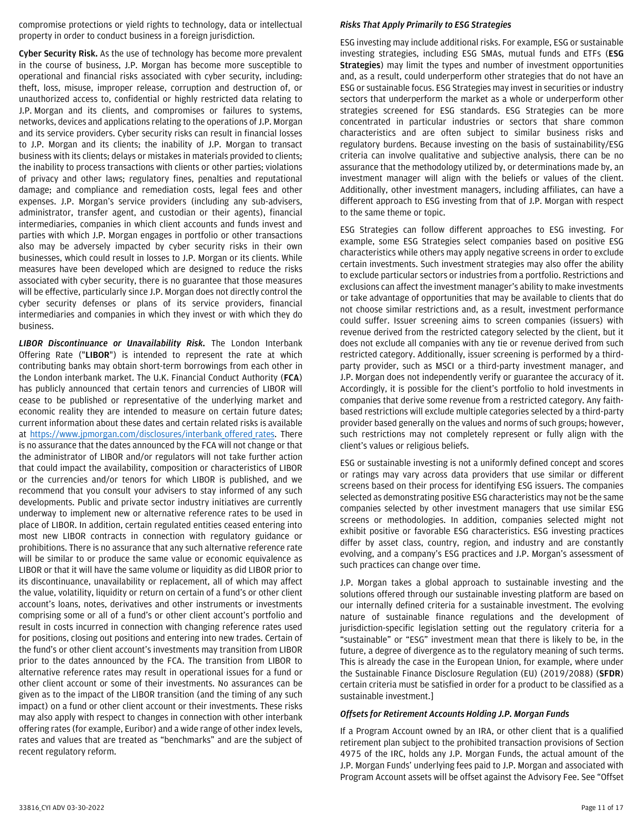compromise protections or yield rights to technology, data or intellectual property in order to conduct business in a foreign jurisdiction.

**Cyber Security Risk.** As the use of technology has become more prevalent in the course of business, J.P. Morgan has become more susceptible to operational and financial risks associated with cyber security, including: theft, loss, misuse, improper release, corruption and destruction of, or unauthorized access to, confidential or highly restricted data relating to J.P. Morgan and its clients, and compromises or failures to systems, networks, devices and applications relating to the operations of J.P. Morgan and its service providers. Cyber security risks can result in financial losses to J.P. Morgan and its clients; the inability of J.P. Morgan to transact business with its clients; delays or mistakes in materials provided to clients; the inability to process transactions with clients or other parties; violations of privacy and other laws; regulatory fines, penalties and reputational damage; and compliance and remediation costs, legal fees and other expenses. J.P. Morgan's service providers (including any sub-advisers, administrator, transfer agent, and custodian or their agents), financial intermediaries, companies in which client accounts and funds invest and parties with which J.P. Morgan engages in portfolio or other transactions also may be adversely impacted by cyber security risks in their own businesses, which could result in losses to J.P. Morgan or its clients. While measures have been developed which are designed to reduce the risks associated with cyber security, there is no guarantee that those measures will be effective, particularly since J.P. Morgan does not directly control the cyber security defenses or plans of its service providers, financial intermediaries and companies in which they invest or with which they do business.

*LIBOR Discontinuance or Unavailability Risk.* The London Interbank Offering Rate ("**LIBOR**") is intended to represent the rate at which contributing banks may obtain short-term borrowings from each other in the London interbank market. The U.K. Financial Conduct Authority (**FCA**) has publicly announced that certain tenors and currencies of LIBOR will cease to be published or representative of the underlying market and economic reality they are intended to measure on certain future dates; current information about these dates and certain related risks is available at https://www.jpmorgan.com/disclosures/interbank offered rates. There is no assurance that the dates announced by the FCA will not change or that the administrator of LIBOR and/or regulators will not take further action that could impact the availability, composition or characteristics of LIBOR or the currencies and/or tenors for which LIBOR is published, and we recommend that you consult your advisers to stay informed of any such developments. Public and private sector industry initiatives are currently underway to implement new or alternative reference rates to be used in place of LIBOR. In addition, certain regulated entities ceased entering into most new LIBOR contracts in connection with regulatory guidance or prohibitions. There is no assurance that any such alternative reference rate will be similar to or produce the same value or economic equivalence as LIBOR or that it will have the same volume or liquidity as did LIBOR prior to its discontinuance, unavailability or replacement, all of which may affect the value, volatility, liquidity or return on certain of a fund's or other client account's loans, notes, derivatives and other instruments or investments comprising some or all of a fund's or other client account's portfolio and result in costs incurred in connection with changing reference rates used for positions, closing out positions and entering into new trades. Certain of the fund's or other client account's investments may transition from LIBOR prior to the dates announced by the FCA. The transition from LIBOR to alternative reference rates may result in operational issues for a fund or other client account or some of their investments. No assurances can be given as to the impact of the LIBOR transition (and the timing of any such impact) on a fund or other client account or their investments. These risks may also apply with respect to changes in connection with other interbank offering rates (for example, Euribor) and a wide range of other index levels, rates and values that are treated as "benchmarks" and are the subject of recent regulatory reform.

#### *Risks That Apply Primarily to ESG Strategies*

ESG investing may include additional risks. For example, ESG or sustainable investing strategies, including ESG SMAs, mutual funds and ETFs (**ESG Strategies**) may limit the types and number of investment opportunities and, as a result, could underperform other strategies that do not have an ESG or sustainable focus. ESG Strategies may invest in securities or industry sectors that underperform the market as a whole or underperform other strategies screened for ESG standards. ESG Strategies can be more concentrated in particular industries or sectors that share common characteristics and are often subject to similar business risks and regulatory burdens. Because investing on the basis of sustainability/ESG criteria can involve qualitative and subjective analysis, there can be no assurance that the methodology utilized by, or determinations made by, an investment manager will align with the beliefs or values of the client. Additionally, other investment managers, including affiliates, can have a different approach to ESG investing from that of J.P. Morgan with respect to the same theme or topic.

ESG Strategies can follow different approaches to ESG investing. For example, some ESG Strategies select companies based on positive ESG characteristics while others may apply negative screens in order to exclude certain investments. Such investment strategies may also offer the ability to exclude particular sectors or industries from a portfolio. Restrictions and exclusions can affect the investment manager's ability to make investments or take advantage of opportunities that may be available to clients that do not choose similar restrictions and, as a result, investment performance could suffer. Issuer screening aims to screen companies (issuers) with revenue derived from the restricted category selected by the client, but it does not exclude all companies with any tie or revenue derived from such restricted category. Additionally, issuer screening is performed by a thirdparty provider, such as MSCI or a third-party investment manager, and J.P. Morgan does not independently verify or guarantee the accuracy of it. Accordingly, it is possible for the client's portfolio to hold investments in companies that derive some revenue from a restricted category. Any faithbased restrictions will exclude multiple categories selected by a third-party provider based generally on the values and norms of such groups; however, such restrictions may not completely represent or fully align with the client's values or religious beliefs.

ESG or sustainable investing is not a uniformly defined concept and scores or ratings may vary across data providers that use similar or different screens based on their process for identifying ESG issuers. The companies selected as demonstrating positive ESG characteristics may not be the same companies selected by other investment managers that use similar ESG screens or methodologies. In addition, companies selected might not exhibit positive or favorable ESG characteristics. ESG investing practices differ by asset class, country, region, and industry and are constantly evolving, and a company's ESG practices and J.P. Morgan's assessment of such practices can change over time.

J.P. Morgan takes a global approach to sustainable investing and the solutions offered through our sustainable investing platform are based on our internally defined criteria for a sustainable investment. The evolving nature of sustainable finance regulations and the development of jurisdiction-specific legislation setting out the regulatory criteria for a "sustainable" or "ESG" investment mean that there is likely to be, in the future, a degree of divergence as to the regulatory meaning of such terms. This is already the case in the European Union, for example, where under the Sustainable Finance Disclosure Regulation (EU) (2019/2088) (**SFDR**) certain criteria must be satisfied in order for a product to be classified as a sustainable investment.]

# *Offsets for Retirement Accounts Holding J.P. Morgan Funds*

If a Program Account owned by an IRA, or other client that is a qualified retirement plan subject to the prohibited transaction provisions of Section 4975 of the IRC, holds any J.P. Morgan Funds, the actual amount of the J.P. Morgan Funds' underlying fees paid to J.P. Morgan and associated with Program Account assets will be offset against the Advisory Fee. See "Offset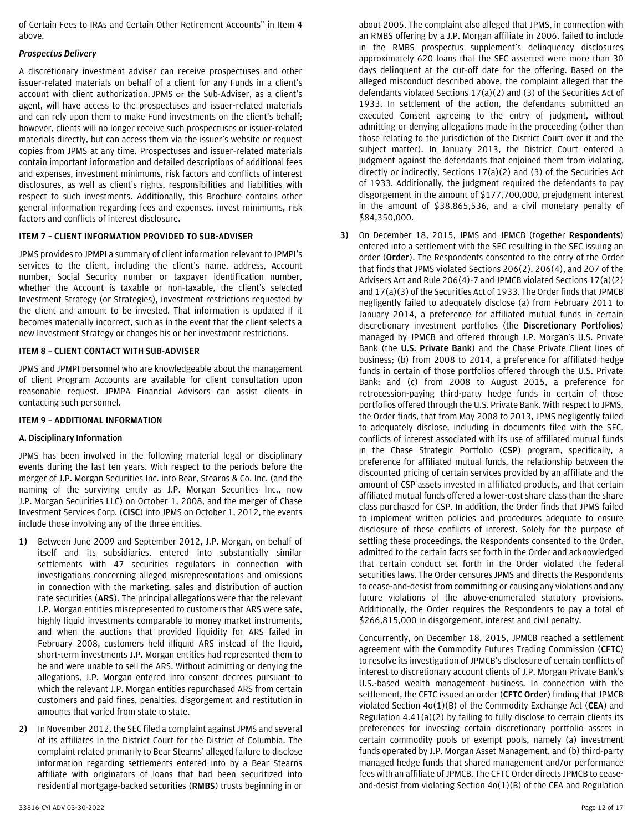of Certain Fees to IRAs and Certain Other Retirement Accounts" in Item 4 above.

### *Prospectus Delivery*

A discretionary investment adviser can receive prospectuses and other issuer-related materials on behalf of a client for any Funds in a client's account with client authorization. JPMS or the Sub-Adviser, as a client's agent, will have access to the prospectuses and issuer-related materials and can rely upon them to make Fund investments on the client's behalf; however, clients will no longer receive such prospectuses or issuer-related materials directly, but can access them via the issuer's website or request copies from JPMS at any time. Prospectuses and issuer-related materials contain important information and detailed descriptions of additional fees and expenses, investment minimums, risk factors and conflicts of interest disclosures, as well as client's rights, responsibilities and liabilities with respect to such investments. Additionally, this Brochure contains other general information regarding fees and expenses, invest minimums, risk factors and conflicts of interest disclosure.

# <span id="page-11-0"></span>**ITEM 7 – CLIENT INFORMATION PROVIDED TO SUB-ADVISER**

JPMS provides to JPMPI a summary of client information relevant to JPMPI's services to the client, including the client's name, address, Account number, Social Security number or taxpayer identification number, whether the Account is taxable or non-taxable, the client's selected Investment Strategy (or Strategies), investment restrictions requested by the client and amount to be invested. That information is updated if it becomes materially incorrect, such as in the event that the client selects a new Investment Strategy or changes his or her investment restrictions.

### <span id="page-11-1"></span>**ITEM 8 – CLIENT CONTACT WITH SUB-ADVISER**

JPMS and JPMPI personnel who are knowledgeable about the management of client Program Accounts are available for client consultation upon reasonable request. JPMPA Financial Advisors can assist clients in contacting such personnel.

### <span id="page-11-2"></span>**ITEM 9 – ADDITIONAL INFORMATION**

# **A. Disciplinary Information**

JPMS has been involved in the following material legal or disciplinary events during the last ten years. With respect to the periods before the merger of J.P. Morgan Securities Inc. into Bear, Stearns & Co. Inc. (and the naming of the surviving entity as J.P. Morgan Securities Inc., now J.P. Morgan Securities LLC) on October 1, 2008, and the merger of Chase Investment Services Corp. (**CISC**) into JPMS on October 1, 2012, the events include those involving any of the three entities.

- **1)** Between June 2009 and September 2012, J.P. Morgan, on behalf of itself and its subsidiaries, entered into substantially similar settlements with 47 securities regulators in connection with investigations concerning alleged misrepresentations and omissions in connection with the marketing, sales and distribution of auction rate securities (**ARS**). The principal allegations were that the relevant J.P. Morgan entities misrepresented to customers that ARS were safe, highly liquid investments comparable to money market instruments, and when the auctions that provided liquidity for ARS failed in February 2008, customers held illiquid ARS instead of the liquid, short-term investments J.P. Morgan entities had represented them to be and were unable to sell the ARS. Without admitting or denying the allegations, J.P. Morgan entered into consent decrees pursuant to which the relevant J.P. Morgan entities repurchased ARS from certain customers and paid fines, penalties, disgorgement and restitution in amounts that varied from state to state.
- **2)** In November 2012, the SEC filed a complaint against JPMS and several of its affiliates in the District Court for the District of Columbia. The complaint related primarily to Bear Stearns' alleged failure to disclose information regarding settlements entered into by a Bear Stearns affiliate with originators of loans that had been securitized into residential mortgage-backed securities (**RMBS**) trusts beginning in or

about 2005. The complaint also alleged that JPMS, in connection with an RMBS offering by a J.P. Morgan affiliate in 2006, failed to include in the RMBS prospectus supplement's delinquency disclosures approximately 620 loans that the SEC asserted were more than 30 days delinquent at the cut-off date for the offering. Based on the alleged misconduct described above, the complaint alleged that the defendants violated Sections 17(a)(2) and (3) of the Securities Act of 1933. In settlement of the action, the defendants submitted an executed Consent agreeing to the entry of judgment, without admitting or denying allegations made in the proceeding (other than those relating to the jurisdiction of the District Court over it and the subject matter). In January 2013, the District Court entered a judgment against the defendants that enjoined them from violating, directly or indirectly, Sections 17(a)(2) and (3) of the Securities Act of 1933. Additionally, the judgment required the defendants to pay disgorgement in the amount of \$177,700,000, prejudgment interest in the amount of \$38,865,536, and a civil monetary penalty of \$84,350,000.

**3)** On December 18, 2015, JPMS and JPMCB (together **Respondents**) entered into a settlement with the SEC resulting in the SEC issuing an order (**Order**). The Respondents consented to the entry of the Order that finds that JPMS violated Sections 206(2), 206(4), and 207 of the Advisers Act and Rule 206(4)-7 and JPMCB violated Sections 17(a)(2) and 17(a)(3) of the Securities Act of 1933. The Order finds that JPMCB negligently failed to adequately disclose (a) from February 2011 to January 2014, a preference for affiliated mutual funds in certain discretionary investment portfolios (the **Discretionary Portfolios**) managed by JPMCB and offered through J.P. Morgan's U.S. Private Bank (the **U.S. Private Bank**) and the Chase Private Client lines of business; (b) from 2008 to 2014, a preference for affiliated hedge funds in certain of those portfolios offered through the U.S. Private Bank; and (c) from 2008 to August 2015, a preference for retrocession-paying third-party hedge funds in certain of those portfolios offered through the U.S. Private Bank. With respect to JPMS, the Order finds, that from May 2008 to 2013, JPMS negligently failed to adequately disclose, including in documents filed with the SEC, conflicts of interest associated with its use of affiliated mutual funds in the Chase Strategic Portfolio (**CSP**) program, specifically, a preference for affiliated mutual funds, the relationship between the discounted pricing of certain services provided by an affiliate and the amount of CSP assets invested in affiliated products, and that certain affiliated mutual funds offered a lower-cost share class than the share class purchased for CSP. In addition, the Order finds that JPMS failed to implement written policies and procedures adequate to ensure disclosure of these conflicts of interest. Solely for the purpose of settling these proceedings, the Respondents consented to the Order, admitted to the certain facts set forth in the Order and acknowledged that certain conduct set forth in the Order violated the federal securities laws. The Order censures JPMS and directs the Respondents to cease-and-desist from committing or causing any violations and any future violations of the above-enumerated statutory provisions. Additionally, the Order requires the Respondents to pay a total of \$266,815,000 in disgorgement, interest and civil penalty.

Concurrently, on December 18, 2015, JPMCB reached a settlement agreement with the Commodity Futures Trading Commission (**CFTC**) to resolve its investigation of JPMCB's disclosure of certain conflicts of interest to discretionary account clients of J.P. Morgan Private Bank's U.S.-based wealth management business. In connection with the settlement, the CFTC issued an order (**CFTC Order**) finding that JPMCB violated Section 4o(1)(B) of the Commodity Exchange Act (**CEA**) and Regulation 4.41(a)(2) by failing to fully disclose to certain clients its preferences for investing certain discretionary portfolio assets in certain commodity pools or exempt pools, namely (a) investment funds operated by J.P. Morgan Asset Management, and (b) third-party managed hedge funds that shared management and/or performance fees with an affiliate of JPMCB. The CFTC Order directs JPMCB to ceaseand-desist from violating Section 4o(1)(B) of the CEA and Regulation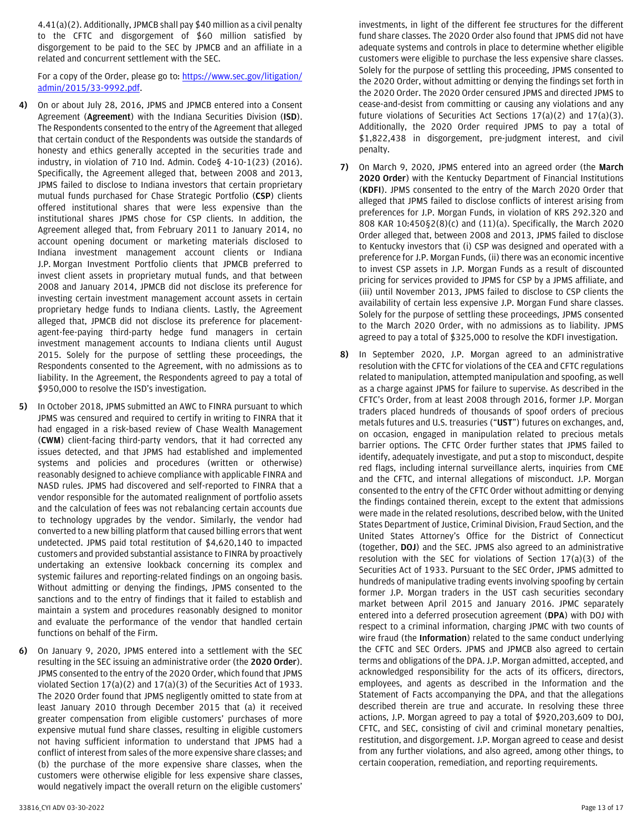4.41(a)(2). Additionally, JPMCB shall pay \$40 million as a civil penalty to the CFTC and disgorgement of \$60 million satisfied by disgorgement to be paid to the SEC by JPMCB and an affiliate in a related and concurrent settlement with the SEC.

For a copy of the Order, please go to: [https://www.sec.gov/litigation/](https://www.sec.gov/litigation/admin/2015/33-9992.pdf) [admin/2015/33-9992.pdf.](https://www.sec.gov/litigation/admin/2015/33-9992.pdf)

- **4)** On or about July 28, 2016, JPMS and JPMCB entered into a Consent Agreement (**Agreement**) with the Indiana Securities Division (**ISD**). The Respondents consented to the entry of the Agreement that alleged that certain conduct of the Respondents was outside the standards of honesty and ethics generally accepted in the securities trade and industry, in violation of 710 Ind. Admin. Code§ 4-10-1(23) (2016). Specifically, the Agreement alleged that, between 2008 and 2013, JPMS failed to disclose to Indiana investors that certain proprietary mutual funds purchased for Chase Strategic Portfolio (**CSP**) clients offered institutional shares that were less expensive than the institutional shares JPMS chose for CSP clients. In addition, the Agreement alleged that, from February 2011 to January 2014, no account opening document or marketing materials disclosed to Indiana investment management account clients or Indiana J.P. Morgan Investment Portfolio clients that JPMCB preferred to invest client assets in proprietary mutual funds, and that between 2008 and January 2014, JPMCB did not disclose its preference for investing certain investment management account assets in certain proprietary hedge funds to Indiana clients. Lastly, the Agreement alleged that, JPMCB did not disclose its preference for placementagent-fee-paying third-party hedge fund managers in certain investment management accounts to Indiana clients until August 2015. Solely for the purpose of settling these proceedings, the Respondents consented to the Agreement, with no admissions as to liability. In the Agreement, the Respondents agreed to pay a total of \$950,000 to resolve the ISD's investigation.
- **5)** In October 2018, JPMS submitted an AWC to FINRA pursuant to which JPMS was censured and required to certify in writing to FINRA that it had engaged in a risk-based review of Chase Wealth Management (**CWM**) client-facing third-party vendors, that it had corrected any issues detected, and that JPMS had established and implemented systems and policies and procedures (written or otherwise) reasonably designed to achieve compliance with applicable FINRA and NASD rules. JPMS had discovered and self-reported to FINRA that a vendor responsible for the automated realignment of portfolio assets and the calculation of fees was not rebalancing certain accounts due to technology upgrades by the vendor. Similarly, the vendor had converted to a new billing platform that caused billing errors that went undetected. JPMS paid total restitution of \$4,620,140 to impacted customers and provided substantial assistance to FINRA by proactively undertaking an extensive lookback concerning its complex and systemic failures and reporting-related findings on an ongoing basis. Without admitting or denying the findings, JPMS consented to the sanctions and to the entry of findings that it failed to establish and maintain a system and procedures reasonably designed to monitor and evaluate the performance of the vendor that handled certain functions on behalf of the Firm.
- **6)** On January 9, 2020, JPMS entered into a settlement with the SEC resulting in the SEC issuing an administrative order (the **2020 Order**). JPMS consented to the entry of the 2020 Order, which found that JPMS violated Section 17(a)(2) and 17(a)(3) of the Securities Act of 1933. The 2020 Order found that JPMS negligently omitted to state from at least January 2010 through December 2015 that (a) it received greater compensation from eligible customers' purchases of more expensive mutual fund share classes, resulting in eligible customers not having sufficient information to understand that JPMS had a conflict of interest from sales of the more expensive share classes; and (b) the purchase of the more expensive share classes, when the customers were otherwise eligible for less expensive share classes, would negatively impact the overall return on the eligible customers'

investments, in light of the different fee structures for the different fund share classes. The 2020 Order also found that JPMS did not have adequate systems and controls in place to determine whether eligible customers were eligible to purchase the less expensive share classes. Solely for the purpose of settling this proceeding, JPMS consented to the 2020 Order, without admitting or denying the findings set forth in the 2020 Order. The 2020 Order censured JPMS and directed JPMS to cease-and-desist from committing or causing any violations and any future violations of Securities Act Sections 17(a)(2) and 17(a)(3). Additionally, the 2020 Order required JPMS to pay a total of \$1,822,438 in disgorgement, pre-judgment interest, and civil penalty.

- **7)** On March 9, 2020, JPMS entered into an agreed order (the **March 2020 Order**) with the Kentucky Department of Financial Institutions (**KDFI**). JPMS consented to the entry of the March 2020 Order that alleged that JPMS failed to disclose conflicts of interest arising from preferences for J.P. Morgan Funds, in violation of KRS 292.320 and 808 KAR 10:450§2(8)(c) and (11)(a). Specifically, the March 2020 Order alleged that, between 2008 and 2013, JPMS failed to disclose to Kentucky investors that (i) CSP was designed and operated with a preference for J.P. Morgan Funds, (ii) there was an economic incentive to invest CSP assets in J.P. Morgan Funds as a result of discounted pricing for services provided to JPMS for CSP by a JPMS affiliate, and (iii) until November 2013, JPMS failed to disclose to CSP clients the availability of certain less expensive J.P. Morgan Fund share classes. Solely for the purpose of settling these proceedings, JPMS consented to the March 2020 Order, with no admissions as to liability. JPMS agreed to pay a total of \$325,000 to resolve the KDFI investigation.
- **8)** In September 2020, J.P. Morgan agreed to an administrative resolution with the CFTC for violations of the CEA and CFTC regulations related to manipulation, attempted manipulation and spoofing, as well as a charge against JPMS for failure to supervise. As described in the CFTC's Order, from at least 2008 through 2016, former J.P. Morgan traders placed hundreds of thousands of spoof orders of precious metals futures and U.S. treasuries ("**UST**") futures on exchanges, and, on occasion, engaged in manipulation related to precious metals barrier options. The CFTC Order further states that JPMS failed to identify, adequately investigate, and put a stop to misconduct, despite red flags, including internal surveillance alerts, inquiries from CME and the CFTC, and internal allegations of misconduct. J.P. Morgan consented to the entry of the CFTC Order without admitting or denying the findings contained therein, except to the extent that admissions were made in the related resolutions, described below, with the United States Department of Justice, Criminal Division, Fraud Section, and the United States Attorney's Office for the District of Connecticut (together, **DOJ**) and the SEC. JPMS also agreed to an administrative resolution with the SEC for violations of Section 17(a)(3) of the Securities Act of 1933. Pursuant to the SEC Order, JPMS admitted to hundreds of manipulative trading events involving spoofing by certain former J.P. Morgan traders in the UST cash securities secondary market between April 2015 and January 2016. JPMC separately entered into a deferred prosecution agreement (**DPA**) with DOJ with respect to a criminal information, charging JPMC with two counts of wire fraud (the **Information**) related to the same conduct underlying the CFTC and SEC Orders. JPMS and JPMCB also agreed to certain terms and obligations of the DPA. J.P. Morgan admitted, accepted, and acknowledged responsibility for the acts of its officers, directors, employees, and agents as described in the Information and the Statement of Facts accompanying the DPA, and that the allegations described therein are true and accurate. In resolving these three actions, J.P. Morgan agreed to pay a total of \$920,203,609 to DOJ, CFTC, and SEC, consisting of civil and criminal monetary penalties, restitution, and disgorgement. J.P. Morgan agreed to cease and desist from any further violations, and also agreed, among other things, to certain cooperation, remediation, and reporting requirements.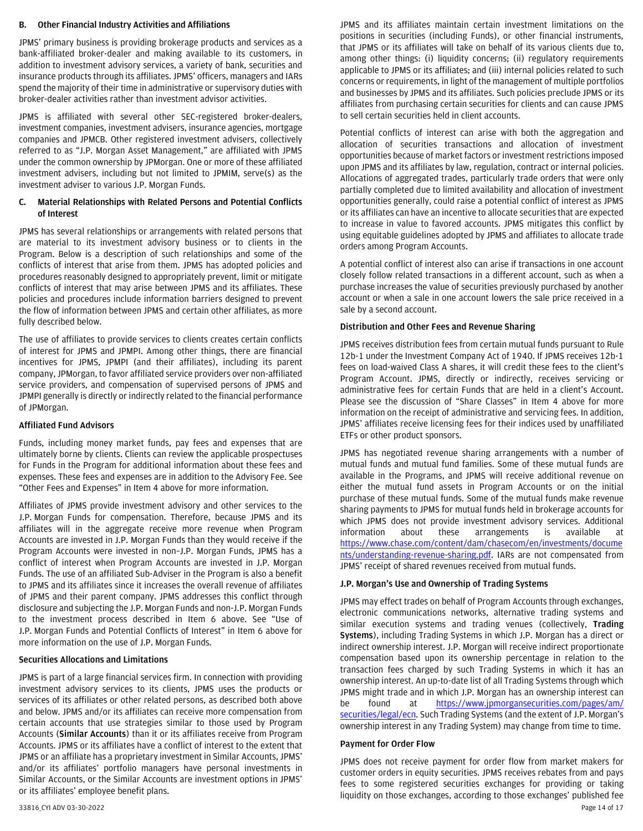### **B. Other Financial Industry Activities and Affiliations**

JPMS' primary business is providing brokerage products and services as a bank-affiliated broker-dealer and making available to its customers, in addition to investment advisory services, a variety of bank, securities and insurance products through its affiliates. JPMS' officers, managers and IARs spend the majority of their time in administrative or supervisory duties with broker-dealer activities rather than investment advisor activities.

JPMS is affiliated with several other SEC-registered broker-dealers, investment companies, investment advisers, insurance agencies, mortgage companies and JPMCB. Other registered investment advisers, collectively referred to as "J.P. Morgan Asset Management," are affiliated with JPMS under the common ownership by JPMorgan. One or more of these affiliated investment advisers, including but not limited to JPMIM, serve(s) as the investment adviser to various J.P. Morgan Funds.

# **C. Material Relationships with Related Persons and Potential Conflicts of Interest**

JPMS has several relationships or arrangements with related persons that are material to its investment advisory business or to clients in the Program. Below is a description of such relationships and some of the conflicts of interest that arise from them. JPMS has adopted policies and procedures reasonably designed to appropriately prevent, limit or mitigate conflicts of interest that may arise between JPMS and its affiliates. These policies and procedures include information barriers designed to prevent the flow of information between JPMS and certain other affiliates, as more fully described below.

The use of affiliates to provide services to clients creates certain conflicts of interest for JPMS and JPMPI. Among other things, there are financial incentives for JPMS, JPMPI (and their affiliates), including its parent company, JPMorgan, to favor affiliated service providers over non-affiliated service providers, and compensation of supervised persons of JPMS and JPMPI generally is directly or indirectly related to the financial performance of JPMorgan.

# **Affiliated Fund Advisors**

Funds, including money market funds, pay fees and expenses that are ultimately borne by clients. Clients can review the applicable prospectuses for Funds in the Program for additional information about these fees and expenses. These fees and expenses are in addition to the Advisory Fee. See "Other Fees and Expenses" in Item 4 above for more information.

Affiliates of JPMS provide investment advisory and other services to the J.P. Morgan Funds for compensation. Therefore, because JPMS and its affiliates will in the aggregate receive more revenue when Program Accounts are invested in J.P. Morgan Funds than they would receive if the Program Accounts were invested in non–J.P. Morgan Funds, JPMS has a conflict of interest when Program Accounts are invested in J.P. Morgan Funds. The use of an affiliated Sub-Adviser in the Program is also a benefit to JPMS and its affiliates since it increases the overall revenue of affiliates of JPMS and their parent company. JPMS addresses this conflict through disclosure and subjecting the J.P. Morgan Funds and non-J.P. Morgan Funds to the investment process described in Item 6 above. See "Use of J.P. Morgan Funds and Potential Conflicts of Interest" in Item 6 above for more information on the use of J.P. Morgan Funds.

# **Securities Allocations and Limitations**

JPMS is part of a large financial services firm. In connection with providing investment advisory services to its clients, JPMS uses the products or services of its affiliates or other related persons, as described both above and below. JPMS and/or its affiliates can receive more compensation from certain accounts that use strategies similar to those used by Program Accounts (**Similar Accounts**) than it or its affiliates receive from Program Accounts. JPMS or its affiliates have a conflict of interest to the extent that JPMS or an affiliate has a proprietary investment in Similar Accounts, JPMS' and/or its affiliates' portfolio managers have personal investments in Similar Accounts, or the Similar Accounts are investment options in JPMS' or its affiliates' employee benefit plans.

Potential conflicts of interest can arise with both the aggregation and allocation of securities transactions and allocation of investment opportunities because of market factors or investment restrictions imposed upon JPMS and its affiliates by law, regulation, contract or internal policies. Allocations of aggregated trades, particularly trade orders that were only partially completed due to limited availability and allocation of investment opportunities generally, could raise a potential conflict of interest as JPMS or its affiliates can have an incentive to allocate securities that are expected to increase in value to favored accounts. JPMS mitigates this conflict by using equitable guidelines adopted by JPMS and affiliates to allocate trade orders among Program Accounts.

A potential conflict of interest also can arise if transactions in one account closely follow related transactions in a different account, such as when a purchase increases the value of securities previously purchased by another account or when a sale in one account lowers the sale price received in a sale by a second account.

### **Distribution and Other Fees and Revenue Sharing**

JPMS receives distribution fees from certain mutual funds pursuant to Rule 12b-1 under the Investment Company Act of 1940. If JPMS receives 12b-1 fees on load-waived Class A shares, it will credit these fees to the client's Program Account. JPMS, directly or indirectly, receives servicing or administrative fees for certain Funds that are held in a client's Account. Please see the discussion of "Share Classes" in Item 4 above for more information on the receipt of administrative and servicing fees. In addition, JPMS' affiliates receive licensing fees for their indices used by unaffiliated ETFs or other product sponsors.

JPMS has negotiated revenue sharing arrangements with a number of mutual funds and mutual fund families. Some of these mutual funds are available in the Programs, and JPMS will receive additional revenue on either the mutual fund assets in Program Accounts or on the initial purchase of these mutual funds. Some of the mutual funds make revenue sharing payments to JPMS for mutual funds held in brokerage accounts for which JPMS does not provide investment advisory services. Additional information about these arrangements is available at [https://www.chase.com/content/dam/chasecom/en/investments/docume](https://www.chase.com/content/dam/chasecom/en/investments/documents/understanding-revenue-sharing.pdf) [nts/understanding-revenue-sharing.pdf.](https://www.chase.com/content/dam/chasecom/en/investments/documents/understanding-revenue-sharing.pdf) IARs are not compensated from JPMS' receipt of shared revenues received from mutual funds.

# **J.P. Morgan's Use and Ownership of Trading Systems**

JPMS may effect trades on behalf of Program Accounts through exchanges, electronic communications networks, alternative trading systems and similar execution systems and trading venues (collectively, **Trading Systems**), including Trading Systems in which J.P. Morgan has a direct or indirect ownership interest. J.P. Morgan will receive indirect proportionate compensation based upon its ownership percentage in relation to the transaction fees charged by such Trading Systems in which it has an ownership interest. An up-to-date list of all Trading Systems through which JPMS might trade and in which J.P. Morgan has an ownership interest can be found at [https://www.jpmorgansecurities.com/pages/am/](https://www.jpmorgan.com/wealth-management/wealth-partners/legal/ecn) [securities/legal/ecn.](https://www.jpmorgan.com/wealth-management/wealth-partners/legal/ecn) Such Trading Systems (and the extent of J.P. Morgan's ownership interest in any Trading System) may change from time to time.

### **Payment for Order Flow**

33816\_CYI ADV 03-30-2022 Page 14 of 17 JPMS does not receive payment for order flow from market makers for customer orders in equity securities. JPMS receives rebates from and pays fees to some registered securities exchanges for providing or taking liquidity on those exchanges, according to those exchanges' published fee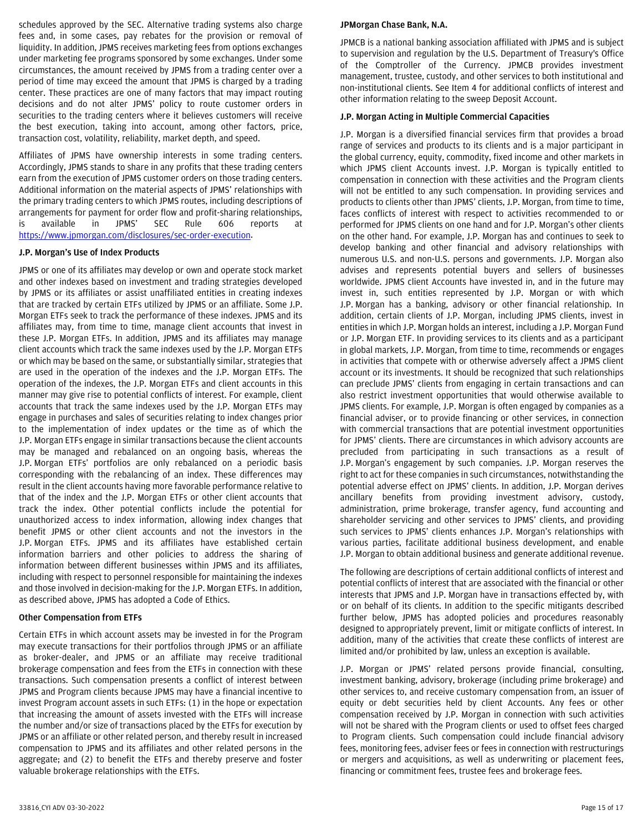schedules approved by the SEC. Alternative trading systems also charge fees and, in some cases, pay rebates for the provision or removal of liquidity. In addition, JPMS receives marketing fees from options exchanges under marketing fee programs sponsored by some exchanges. Under some circumstances, the amount received by JPMS from a trading center over a period of time may exceed the amount that JPMS is charged by a trading center. These practices are one of many factors that may impact routing decisions and do not alter JPMS' policy to route customer orders in securities to the trading centers where it believes customers will receive the best execution, taking into account, among other factors, price, transaction cost, volatility, reliability, market depth, and speed.

Affiliates of JPMS have ownership interests in some trading centers. Accordingly, JPMS stands to share in any profits that these trading centers earn from the execution of JPMS customer orders on those trading centers. Additional information on the material aspects of JPMS' relationships with the primary trading centers to which JPMS routes, including descriptions of arrangements for payment for order flow and profit-sharing relationships, is available in JPMS' SEC Rule 606 reports at [https://www.jpmorgan.com/disclosures/sec-order-execution.](https://www.jpmorgan.com/disclosures/sec-order-execution)

### **J.P. Morgan's Use of Index Products**

JPMS or one of its affiliates may develop or own and operate stock market and other indexes based on investment and trading strategies developed by JPMS or its affiliates or assist unaffiliated entities in creating indexes that are tracked by certain ETFs utilized by JPMS or an affiliate. Some J.P. Morgan ETFs seek to track the performance of these indexes. JPMS and its affiliates may, from time to time, manage client accounts that invest in these J.P. Morgan ETFs. In addition, JPMS and its affiliates may manage client accounts which track the same indexes used by the J.P. Morgan ETFs or which may be based on the same, or substantially similar, strategies that are used in the operation of the indexes and the J.P. Morgan ETFs. The operation of the indexes, the J.P. Morgan ETFs and client accounts in this manner may give rise to potential conflicts of interest. For example, client accounts that track the same indexes used by the J.P. Morgan ETFs may engage in purchases and sales of securities relating to index changes prior to the implementation of index updates or the time as of which the J.P. Morgan ETFs engage in similar transactions because the client accounts may be managed and rebalanced on an ongoing basis, whereas the J.P. Morgan ETFs' portfolios are only rebalanced on a periodic basis corresponding with the rebalancing of an index. These differences may result in the client accounts having more favorable performance relative to that of the index and the J.P. Morgan ETFs or other client accounts that track the index. Other potential conflicts include the potential for unauthorized access to index information, allowing index changes that benefit JPMS or other client accounts and not the investors in the J.P. Morgan ETFs. JPMS and its affiliates have established certain information barriers and other policies to address the sharing of information between different businesses within JPMS and its affiliates, including with respect to personnel responsible for maintaining the indexes and those involved in decision-making for the J.P. Morgan ETFs. In addition, as described above, JPMS has adopted a Code of Ethics.

#### **Other Compensation from ETFs**

Certain ETFs in which account assets may be invested in for the Program may execute transactions for their portfolios through JPMS or an affiliate as broker-dealer, and JPMS or an affiliate may receive traditional brokerage compensation and fees from the ETFs in connection with these transactions. Such compensation presents a conflict of interest between JPMS and Program clients because JPMS may have a financial incentive to invest Program account assets in such ETFs: (1) in the hope or expectation that increasing the amount of assets invested with the ETFs will increase the number and/or size of transactions placed by the ETFs for execution by JPMS or an affiliate or other related person, and thereby result in increased compensation to JPMS and its affiliates and other related persons in the aggregate; and (2) to benefit the ETFs and thereby preserve and foster valuable brokerage relationships with the ETFs.

#### **JPMorgan Chase Bank, N.A.**

JPMCB is a national banking association affiliated with JPMS and is subject to supervision and regulation by the U.S. Department of Treasury's Office of the Comptroller of the Currency. JPMCB provides investment management, trustee, custody, and other services to both institutional and non-institutional clients. See Item 4 for additional conflicts of interest and other information relating to the sweep Deposit Account.

# **J.P. Morgan Acting in Multiple Commercial Capacities**

J.P. Morgan is a diversified financial services firm that provides a broad range of services and products to its clients and is a major participant in the global currency, equity, commodity, fixed income and other markets in which JPMS client Accounts invest. J.P. Morgan is typically entitled to compensation in connection with these activities and the Program clients will not be entitled to any such compensation. In providing services and products to clients other than JPMS' clients, J.P. Morgan, from time to time, faces conflicts of interest with respect to activities recommended to or performed for JPMS clients on one hand and for J.P. Morgan's other clients on the other hand. For example, J.P. Morgan has and continues to seek to develop banking and other financial and advisory relationships with numerous U.S. and non-U.S. persons and governments. J.P. Morgan also advises and represents potential buyers and sellers of businesses worldwide. JPMS client Accounts have invested in, and in the future may invest in, such entities represented by J.P. Morgan or with which J.P. Morgan has a banking, advisory or other financial relationship. In addition, certain clients of J.P. Morgan, including JPMS clients, invest in entities in which J.P. Morgan holds an interest, including a J.P. Morgan Fund or J.P. Morgan ETF. In providing services to its clients and as a participant in global markets, J.P. Morgan, from time to time, recommends or engages in activities that compete with or otherwise adversely affect a JPMS client account or its investments. It should be recognized that such relationships can preclude JPMS' clients from engaging in certain transactions and can also restrict investment opportunities that would otherwise available to JPMS clients. For example, J.P. Morgan is often engaged by companies as a financial adviser, or to provide financing or other services, in connection with commercial transactions that are potential investment opportunities for JPMS' clients. There are circumstances in which advisory accounts are precluded from participating in such transactions as a result of J.P. Morgan's engagement by such companies. J.P. Morgan reserves the right to act for these companies in such circumstances, notwithstanding the potential adverse effect on JPMS' clients. In addition, J.P. Morgan derives ancillary benefits from providing investment advisory, custody, administration, prime brokerage, transfer agency, fund accounting and shareholder servicing and other services to JPMS' clients, and providing such services to JPMS' clients enhances J.P. Morgan's relationships with various parties, facilitate additional business development, and enable J.P. Morgan to obtain additional business and generate additional revenue.

The following are descriptions of certain additional conflicts of interest and potential conflicts of interest that are associated with the financial or other interests that JPMS and J.P. Morgan have in transactions effected by, with or on behalf of its clients. In addition to the specific mitigants described further below, JPMS has adopted policies and procedures reasonably designed to appropriately prevent, limit or mitigate conflicts of interest. In addition, many of the activities that create these conflicts of interest are limited and/or prohibited by law, unless an exception is available.

J.P. Morgan or JPMS' related persons provide financial, consulting, investment banking, advisory, brokerage (including prime brokerage) and other services to, and receive customary compensation from, an issuer of equity or debt securities held by client Accounts. Any fees or other compensation received by J.P. Morgan in connection with such activities will not be shared with the Program clients or used to offset fees charged to Program clients. Such compensation could include financial advisory fees, monitoring fees, adviser fees or fees in connection with restructurings or mergers and acquisitions, as well as underwriting or placement fees, financing or commitment fees, trustee fees and brokerage fees.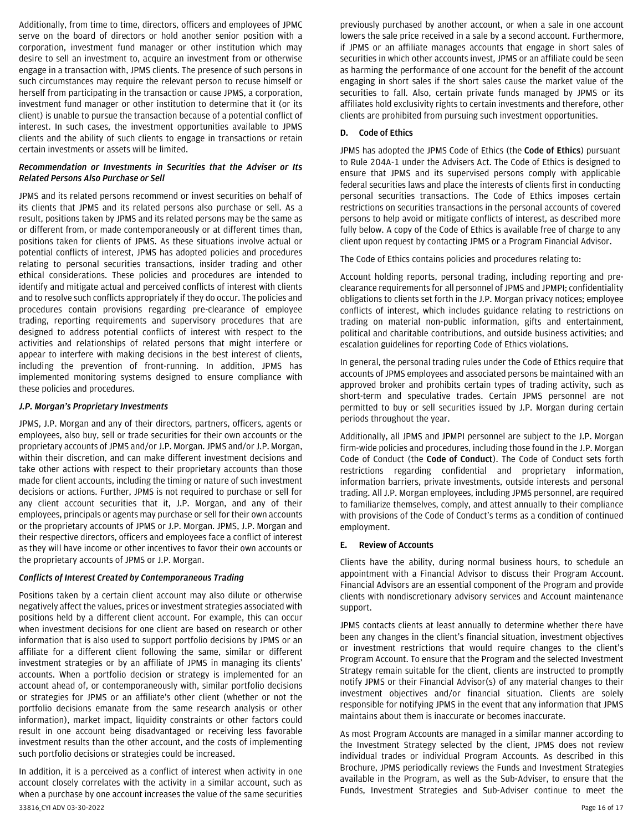Additionally, from time to time, directors, officers and employees of JPMC serve on the board of directors or hold another senior position with a corporation, investment fund manager or other institution which may desire to sell an investment to, acquire an investment from or otherwise engage in a transaction with, JPMS clients. The presence of such persons in such circumstances may require the relevant person to recuse himself or herself from participating in the transaction or cause JPMS, a corporation, investment fund manager or other institution to determine that it (or its client) is unable to pursue the transaction because of a potential conflict of interest. In such cases, the investment opportunities available to JPMS clients and the ability of such clients to engage in transactions or retain certain investments or assets will be limited.

# *Recommendation or Investments in Securities that the Adviser or Its Related Persons Also Purchase or Sell*

JPMS and its related persons recommend or invest securities on behalf of its clients that JPMS and its related persons also purchase or sell. As a result, positions taken by JPMS and its related persons may be the same as or different from, or made contemporaneously or at different times than, positions taken for clients of JPMS. As these situations involve actual or potential conflicts of interest, JPMS has adopted policies and procedures relating to personal securities transactions, insider trading and other ethical considerations. These policies and procedures are intended to identify and mitigate actual and perceived conflicts of interest with clients and to resolve such conflicts appropriately if they do occur. The policies and procedures contain provisions regarding pre-clearance of employee trading, reporting requirements and supervisory procedures that are designed to address potential conflicts of interest with respect to the activities and relationships of related persons that might interfere or appear to interfere with making decisions in the best interest of clients, including the prevention of front-running. In addition, JPMS has implemented monitoring systems designed to ensure compliance with these policies and procedures.

### *J.P. Morgan's Proprietary Investments*

JPMS, J.P. Morgan and any of their directors, partners, officers, agents or employees, also buy, sell or trade securities for their own accounts or the proprietary accounts of JPMS and/or J.P. Morgan. JPMS and/or J.P. Morgan, within their discretion, and can make different investment decisions and take other actions with respect to their proprietary accounts than those made for client accounts, including the timing or nature of such investment decisions or actions. Further, JPMS is not required to purchase or sell for any client account securities that it, J.P. Morgan, and any of their employees, principals or agents may purchase or sell for their own accounts or the proprietary accounts of JPMS or J.P. Morgan. JPMS, J.P. Morgan and their respective directors, officers and employees face a conflict of interest as they will have income or other incentives to favor their own accounts or the proprietary accounts of JPMS or J.P. Morgan.

# *Conflicts of Interest Created by Contemporaneous Trading*

Positions taken by a certain client account may also dilute or otherwise negatively affect the values, prices or investment strategies associated with positions held by a different client account. For example, this can occur when investment decisions for one client are based on research or other information that is also used to support portfolio decisions by JPMS or an affiliate for a different client following the same, similar or different investment strategies or by an affiliate of JPMS in managing its clients' accounts. When a portfolio decision or strategy is implemented for an account ahead of, or contemporaneously with, similar portfolio decisions or strategies for JPMS or an affiliate's other client (whether or not the portfolio decisions emanate from the same research analysis or other information), market impact, liquidity constraints or other factors could result in one account being disadvantaged or receiving less favorable investment results than the other account, and the costs of implementing such portfolio decisions or strategies could be increased.

33816\_CYI ADV 03-30-2022 Page 16 of 17 In addition, it is a perceived as a conflict of interest when activity in one account closely correlates with the activity in a similar account, such as when a purchase by one account increases the value of the same securities

previously purchased by another account, or when a sale in one account lowers the sale price received in a sale by a second account. Furthermore, if JPMS or an affiliate manages accounts that engage in short sales of securities in which other accounts invest, JPMS or an affiliate could be seen as harming the performance of one account for the benefit of the account engaging in short sales if the short sales cause the market value of the securities to fall. Also, certain private funds managed by JPMS or its affiliates hold exclusivity rights to certain investments and therefore, other clients are prohibited from pursuing such investment opportunities.

### **D. Code of Ethics**

JPMS has adopted the JPMS Code of Ethics (the **Code of Ethics**) pursuant to Rule 204A-1 under the Advisers Act. The Code of Ethics is designed to ensure that JPMS and its supervised persons comply with applicable federal securities laws and place the interests of clients first in conducting personal securities transactions. The Code of Ethics imposes certain restrictions on securities transactions in the personal accounts of covered persons to help avoid or mitigate conflicts of interest, as described more fully below. A copy of the Code of Ethics is available free of charge to any client upon request by contacting JPMS or a Program Financial Advisor.

The Code of Ethics contains policies and procedures relating to:

Account holding reports, personal trading, including reporting and preclearance requirements for all personnel of JPMS and JPMPI; confidentiality obligations to clients set forth in the J.P. Morgan privacy notices; employee conflicts of interest, which includes guidance relating to restrictions on trading on material non-public information, gifts and entertainment, political and charitable contributions, and outside business activities; and escalation guidelines for reporting Code of Ethics violations.

In general, the personal trading rules under the Code of Ethics require that accounts of JPMS employees and associated persons be maintained with an approved broker and prohibits certain types of trading activity, such as short-term and speculative trades. Certain JPMS personnel are not permitted to buy or sell securities issued by J.P. Morgan during certain periods throughout the year.

Additionally, all JPMS and JPMPI personnel are subject to the J.P. Morgan firm-wide policies and procedures, including those found in the J.P. Morgan Code of Conduct (the **Code of Conduct**). The Code of Conduct sets forth restrictions regarding confidential and proprietary information, information barriers, private investments, outside interests and personal trading. All J.P. Morgan employees, including JPMS personnel, are required to familiarize themselves, comply, and attest annually to their compliance with provisions of the Code of Conduct's terms as a condition of continued employment.

#### **E. Review of Accounts**

Clients have the ability, during normal business hours, to schedule an appointment with a Financial Advisor to discuss their Program Account. Financial Advisors are an essential component of the Program and provide clients with nondiscretionary advisory services and Account maintenance support.

JPMS contacts clients at least annually to determine whether there have been any changes in the client's financial situation, investment objectives or investment restrictions that would require changes to the client's Program Account. To ensure that the Program and the selected Investment Strategy remain suitable for the client, clients are instructed to promptly notify JPMS or their Financial Advisor(s) of any material changes to their investment objectives and/or financial situation. Clients are solely responsible for notifying JPMS in the event that any information that JPMS maintains about them is inaccurate or becomes inaccurate.

As most Program Accounts are managed in a similar manner according to the Investment Strategy selected by the client, JPMS does not review individual trades or individual Program Accounts. As described in this Brochure, JPMS periodically reviews the Funds and Investment Strategies available in the Program, as well as the Sub-Adviser, to ensure that the Funds, Investment Strategies and Sub-Adviser continue to meet the